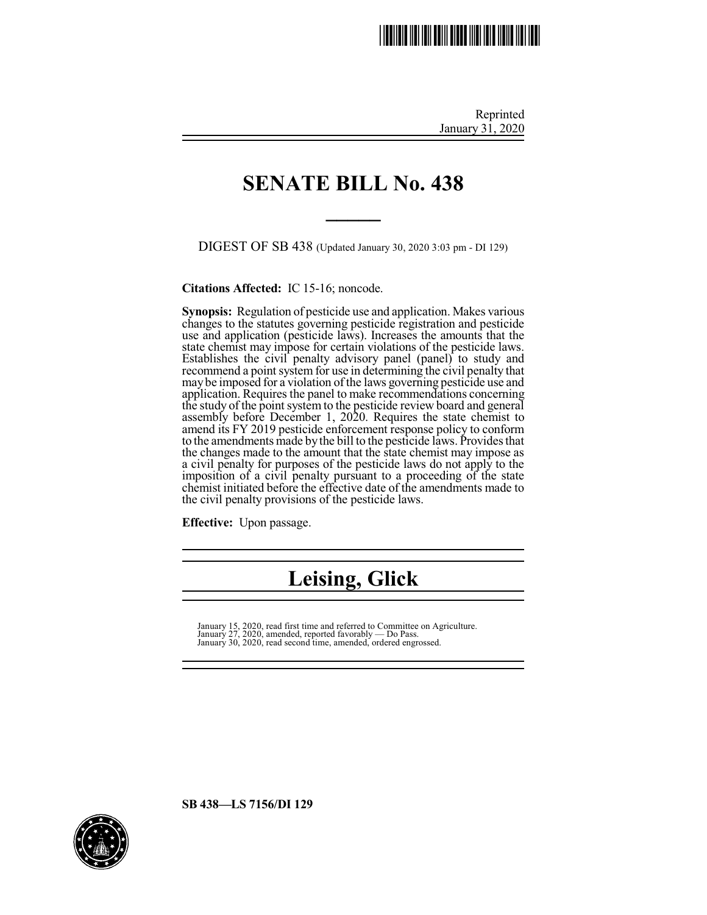# \*SB0438.2\*

Reprinted January 31, 2020

### **SENATE BILL No. 438**

**\_\_\_\_\_**

DIGEST OF SB 438 (Updated January 30, 2020 3:03 pm - DI 129)

**Citations Affected:** IC 15-16; noncode.

**Synopsis:** Regulation of pesticide use and application. Makes various changes to the statutes governing pesticide registration and pesticide use and application (pesticide laws). Increases the amounts that the state chemist may impose for certain violations of the pesticide laws. Establishes the civil penalty advisory panel (panel) to study and recommend a point system for use in determining the civil penalty that maybe imposed for a violation of the laws governing pesticide use and application. Requires the panel to make recommendations concerning the study of the point system to the pesticide review board and general assembly before December 1, 2020. Requires the state chemist to amend its FY 2019 pesticide enforcement response policy to conform to the amendments made by the bill to the pesticide laws. Provides that the changes made to the amount that the state chemist may impose as a civil penalty for purposes of the pesticide laws do not apply to the imposition of a civil penalty pursuant to a proceeding of the state chemist initiated before the effective date of the amendments made to the civil penalty provisions of the pesticide laws.

**Effective:** Upon passage.

## **Leising, Glick**

January 15, 2020, read first time and referred to Committee on Agriculture. January 27, 2020, amended, reported favorably — Do Pass. January 30, 2020, read second time, amended, ordered engrossed.

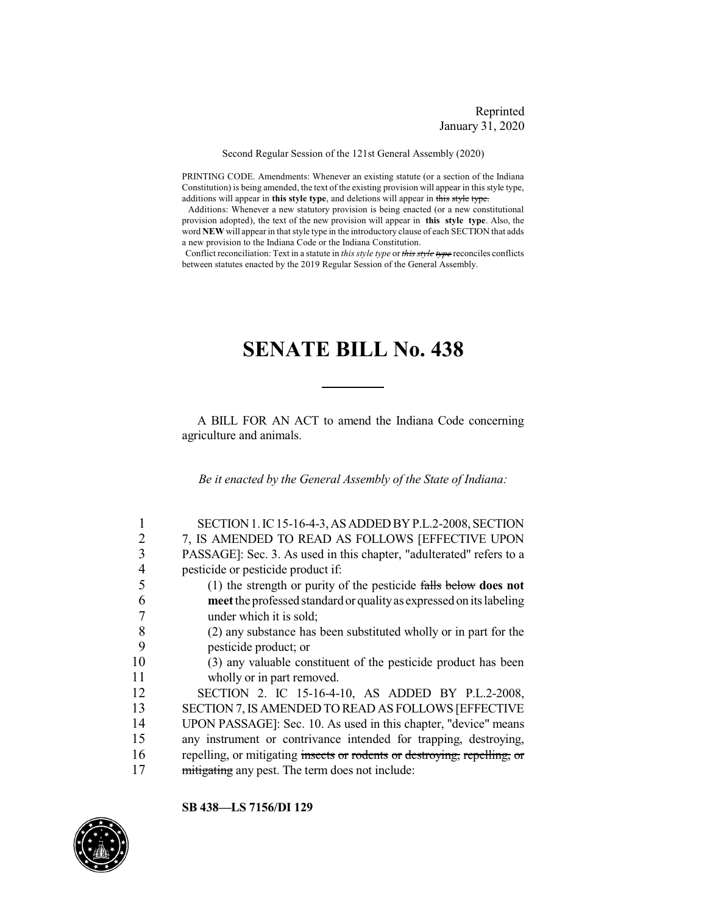Reprinted January 31, 2020

Second Regular Session of the 121st General Assembly (2020)

PRINTING CODE. Amendments: Whenever an existing statute (or a section of the Indiana Constitution) is being amended, the text of the existing provision will appear in this style type, additions will appear in **this style type**, and deletions will appear in this style type.

Additions: Whenever a new statutory provision is being enacted (or a new constitutional provision adopted), the text of the new provision will appear in **this style type**. Also, the word **NEW** will appear in that style type in the introductory clause of each SECTION that adds a new provision to the Indiana Code or the Indiana Constitution.

Conflict reconciliation: Text in a statute in *this style type* or *this style type* reconciles conflicts between statutes enacted by the 2019 Regular Session of the General Assembly.

### **SENATE BILL No. 438**

A BILL FOR AN ACT to amend the Indiana Code concerning agriculture and animals.

*Be it enacted by the General Assembly of the State of Indiana:*

|    | SECTION 1. IC 15-16-4-3, AS ADDED BY P.L.2-2008, SECTION                         |
|----|----------------------------------------------------------------------------------|
| 2  | 7, IS AMENDED TO READ AS FOLLOWS [EFFECTIVE UPON                                 |
| 3  | PASSAGE]: Sec. 3. As used in this chapter, "adulterated" refers to a             |
| 4  | pesticide or pesticide product if:                                               |
| 5  | (1) the strength or purity of the pesticide $\frac{f \cdot f}{f}$ below does not |
| 6  | meet the professed standard or quality as expressed on its labeling              |
|    | under which it is sold;                                                          |
| 8  | (2) any substance has been substituted wholly or in part for the                 |
| 9  | pesticide product; or                                                            |
| 10 | (3) any valuable constituent of the pesticide product has been                   |
| 11 | wholly or in part removed.                                                       |
| 12 | SECTION 2. IC 15-16-4-10, AS ADDED BY P.L.2-2008,                                |
| 13 | SECTION 7, IS AMENDED TO READ AS FOLLOWS [EFFECTIVE                              |
| 14 | UPON PASSAGE]: Sec. 10. As used in this chapter, "device" means                  |
| 15 | any instrument or contrivance intended for trapping, destroying,                 |
| 16 | repelling, or mitigating insects or rodents or destroying, repelling, or         |
| 17 | mitigating any pest. The term does not include:                                  |

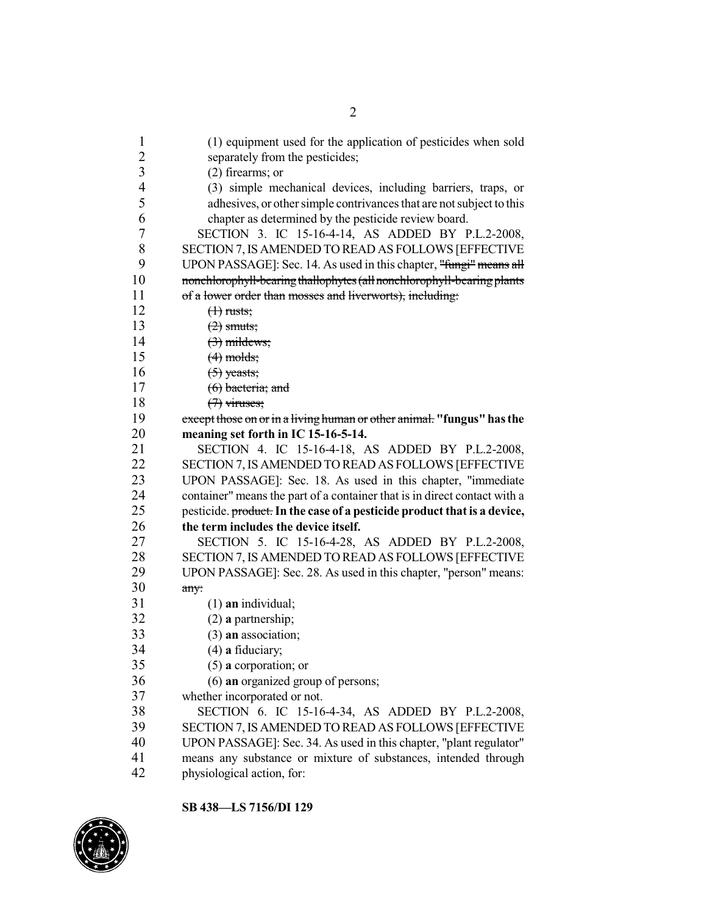| $\mathbf{1}$            | (1) equipment used for the application of pesticides when sold            |
|-------------------------|---------------------------------------------------------------------------|
| $\overline{c}$          | separately from the pesticides;                                           |
| $\overline{\mathbf{3}}$ | $(2)$ firearms; or                                                        |
| $\overline{4}$          | (3) simple mechanical devices, including barriers, traps, or              |
| 5                       | adhesives, or other simple contrivances that are not subject to this      |
| 6                       | chapter as determined by the pesticide review board.                      |
| $\boldsymbol{7}$        | SECTION 3. IC 15-16-4-14, AS ADDED BY P.L.2-2008,                         |
| $8\,$                   | SECTION 7, IS AMENDED TO READ AS FOLLOWS [EFFECTIVE                       |
| 9                       | UPON PASSAGE]: Sec. 14. As used in this chapter, "fungi" means all        |
| 10                      | nonchlorophyll-bearing thallophytes (all nonchlorophyll-bearing plants    |
| 11                      | of a lower order than mosses and liverworts), including:                  |
| 12                      | $(1)$ rusts;                                                              |
| 13                      | $(2)$ smuts;                                                              |
| 14                      | $(3)$ mildews;                                                            |
| 15                      | $(4)$ molds;                                                              |
| 16                      | $(5)$ yeasts;                                                             |
| 17                      | $(6)$ bacteria; and                                                       |
| 18                      | $(7)$ viruses;                                                            |
| 19                      | except those on or in a living human or other animal. "fungus" has the    |
| 20                      | meaning set forth in IC 15-16-5-14.                                       |
| 21                      | SECTION 4. IC 15-16-4-18, AS ADDED BY P.L.2-2008,                         |
| 22                      | SECTION 7, IS AMENDED TO READ AS FOLLOWS [EFFECTIVE                       |
| 23                      | UPON PASSAGE]: Sec. 18. As used in this chapter, "immediate               |
| 24                      | container" means the part of a container that is in direct contact with a |
| 25                      | pesticide. product. In the case of a pesticide product that is a device,  |
| 26                      | the term includes the device itself.                                      |
| 27                      | SECTION 5. IC 15-16-4-28, AS ADDED BY P.L.2-2008,                         |
| 28                      | SECTION 7, IS AMENDED TO READ AS FOLLOWS [EFFECTIVE                       |
| 29                      | UPON PASSAGE]: Sec. 28. As used in this chapter, "person" means:          |
| 30                      | any:                                                                      |
| 31                      | $(1)$ an individual;                                                      |
| 32                      | $(2)$ a partnership;                                                      |
| 33                      | $(3)$ an association;                                                     |
| 34                      | $(4)$ a fiduciary;                                                        |
| 35                      | $(5)$ a corporation; or                                                   |
| 36                      | $(6)$ an organized group of persons;                                      |
| 37                      | whether incorporated or not.                                              |
| 38                      | SECTION 6. IC 15-16-4-34, AS ADDED BY P.L.2-2008,                         |
| 39                      | SECTION 7, IS AMENDED TO READ AS FOLLOWS [EFFECTIVE                       |
| 40                      | UPON PASSAGE]: Sec. 34. As used in this chapter, "plant regulator"        |
| 41                      | means any substance or mixture of substances, intended through            |
| 42                      | physiological action, for:                                                |
|                         |                                                                           |

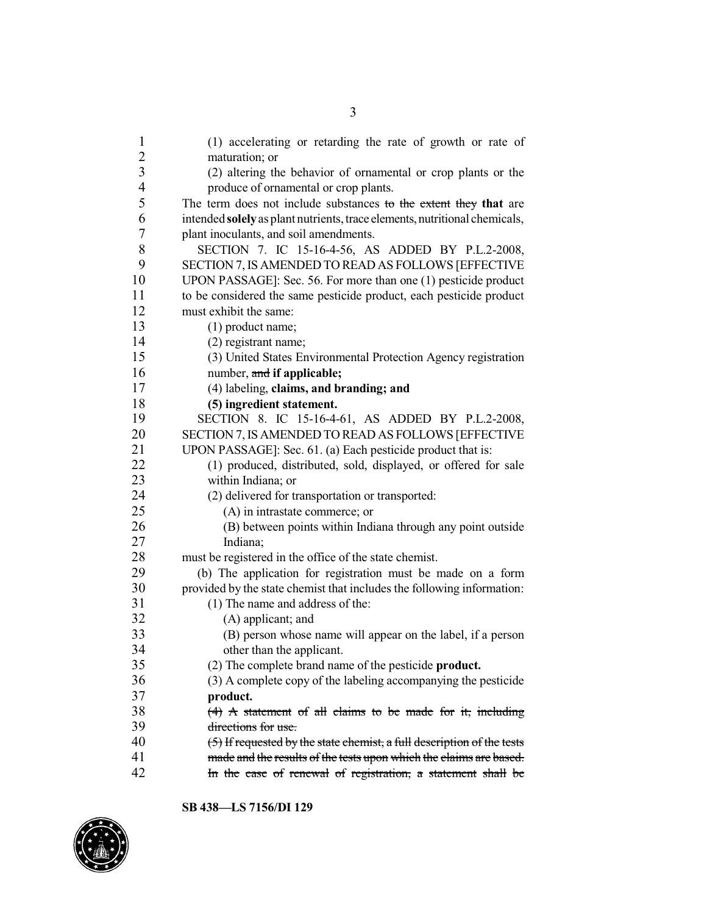| 1              | (1) accelerating or retarding the rate of growth or rate of                                                                                    |
|----------------|------------------------------------------------------------------------------------------------------------------------------------------------|
| $\overline{2}$ | maturation; or                                                                                                                                 |
| $\overline{3}$ | (2) altering the behavior of ornamental or crop plants or the                                                                                  |
| $\overline{4}$ | produce of ornamental or crop plants.                                                                                                          |
| 5              | The term does not include substances to the extent they that are                                                                               |
| 6              | intended solely as plant nutrients, trace elements, nutritional chemicals,                                                                     |
| 7              | plant inoculants, and soil amendments.                                                                                                         |
| 8              | SECTION 7. IC 15-16-4-56, AS ADDED BY P.L.2-2008,                                                                                              |
| 9              | SECTION 7, IS AMENDED TO READ AS FOLLOWS [EFFECTIVE                                                                                            |
| 10             | UPON PASSAGE]: Sec. 56. For more than one (1) pesticide product                                                                                |
| 11             | to be considered the same pesticide product, each pesticide product                                                                            |
| 12             | must exhibit the same:                                                                                                                         |
| 13             | $(1)$ product name;                                                                                                                            |
| 14             | (2) registrant name;                                                                                                                           |
| 15             | (3) United States Environmental Protection Agency registration                                                                                 |
| 16             | number, and if applicable;                                                                                                                     |
| 17             | (4) labeling, claims, and branding; and                                                                                                        |
| 18             | (5) ingredient statement.                                                                                                                      |
| 19             | SECTION 8. IC 15-16-4-61, AS ADDED BY P.L.2-2008,                                                                                              |
| 20             | SECTION 7, IS AMENDED TO READ AS FOLLOWS [EFFECTIVE                                                                                            |
| 21             | UPON PASSAGE]: Sec. 61. (a) Each pesticide product that is:                                                                                    |
| 22             | (1) produced, distributed, sold, displayed, or offered for sale                                                                                |
| 23             | within Indiana; or                                                                                                                             |
| 24             | (2) delivered for transportation or transported:                                                                                               |
| 25             | (A) in intrastate commerce; or                                                                                                                 |
| 26             | (B) between points within Indiana through any point outside                                                                                    |
| 27             | Indiana;                                                                                                                                       |
| 28             | must be registered in the office of the state chemist.                                                                                         |
| 29             | (b) The application for registration must be made on a form                                                                                    |
| 30             | provided by the state chemist that includes the following information:                                                                         |
| 31             | (1) The name and address of the:                                                                                                               |
| 32             | (A) applicant; and                                                                                                                             |
| 33             | (B) person whose name will appear on the label, if a person                                                                                    |
| 34             |                                                                                                                                                |
| 35             | other than the applicant.                                                                                                                      |
| 36             | (2) The complete brand name of the pesticide <b>product.</b><br>(3) A complete copy of the labeling accompanying the pesticide                 |
| 37             |                                                                                                                                                |
| 38             | product.<br>$(4)$ A statement of all claims to be made for it, including                                                                       |
| 39             | directions for use.                                                                                                                            |
| 40             |                                                                                                                                                |
| 41             | $(5)$ If requested by the state chemist, a full description of the tests<br>made and the results of the tests upon which the claims are based. |
| 42             |                                                                                                                                                |
|                | In the case of renewal of registration, a statement shall be                                                                                   |

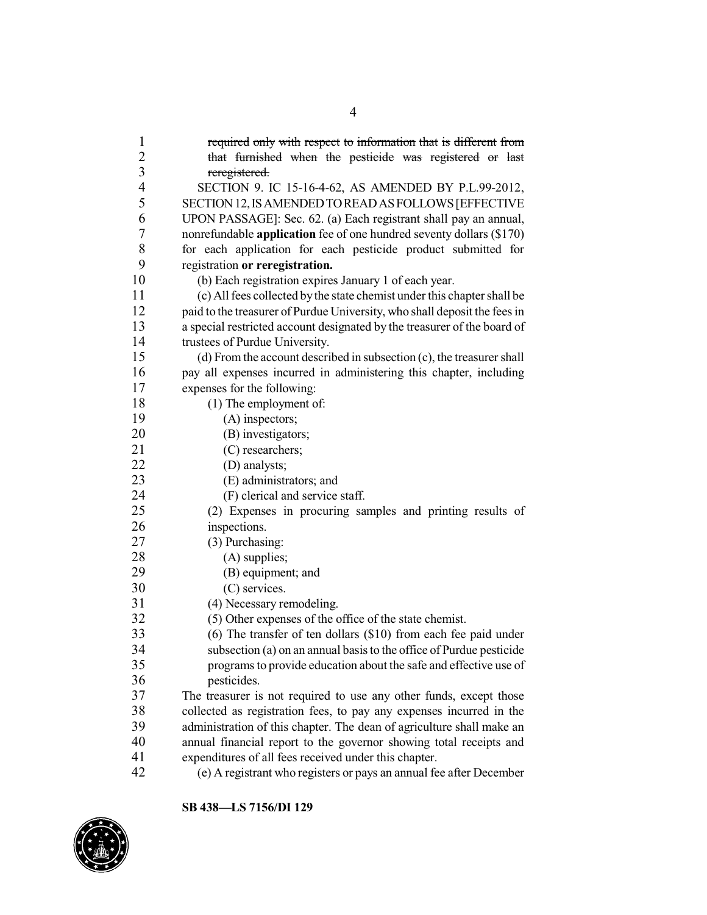required only with respect to information that is different from that furnished when the pesticide was registered or last reregistered. SECTION 9. IC 15-16-4-62, AS AMENDED BY P.L.99-2012, SECTION12,ISAMENDEDTOREADASFOLLOWS[EFFECTIVE UPON PASSAGE]: Sec. 62. (a) Each registrant shall pay an annual, nonrefundable **application** fee of one hundred seventy dollars (\$170) for each application for each pesticide product submitted for registration **or reregistration.** (b) Each registration expires January 1 of each year. (c) Allfees collected bythe state chemist under this chapter shall be paid to the treasurer of Purdue University, who shall deposit the fees in a special restricted account designated by the treasurer of the board of 14 trustees of Purdue University.<br>15 (d) From the account descri- $(d)$  From the account described in subsection  $(c)$ , the treasurer shall pay all expenses incurred in administering this chapter, including expenses for the following: 18 (1) The employment of: (A) inspectors; 20 (B) investigators; 21 (C) researchers; (D) analysts; 23 (E) administrators; and<br>24 (F) clerical and service  $(F)$  clerical and service staff. (2) Expenses in procuring samples and printing results of inspections. (3) Purchasing: 28 (A) supplies; (B) equipment; and (C) services. 31 (4) Necessary remodeling.<br>32 (5) Other expenses of the c (5) Other expenses of the office of the state chemist. (6) The transfer of ten dollars (\$10) from each fee paid under 34 subsection (a) on an annual basis to the office of Purdue pesticide<br>35 roomans to provide education about the safe and effective use of programs to provide education about the safe and effective use of pesticides. The treasurer is not required to use any other funds, except those collected as registration fees, to pay any expenses incurred in the administration of this chapter. The dean of agriculture shall make an annual financial report to the governor showing total receipts and expenditures of all fees received under this chapter. (e) A registrant who registers or pays an annual fee after December

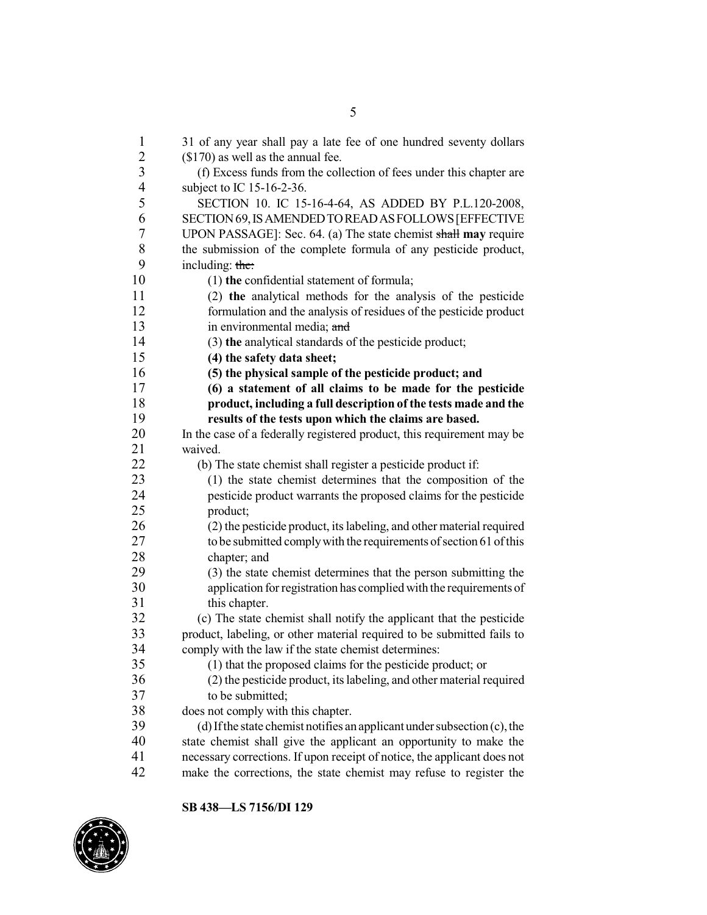1 31 of any year shall pay a late fee of one hundred seventy dollars<br>2 (\$170) as well as the annual fee.  $$170$ ) as well as the annual fee. (f) Excess funds from the collection of fees under this chapter are subject to IC 15-16-2-36. SECTION 10. IC 15-16-4-64, AS ADDED BY P.L.120-2008, SECTION69,ISAMENDEDTOREADASFOLLOWS[EFFECTIVE UPON PASSAGE]: Sec. 64. (a) The state chemist shall **may** require the submission of the complete formula of any pesticide product, 9 including:  $\frac{1}{2}$  including: (1) **the** confidential statement of formula; (2) **the** analytical methods for the analysis of the pesticide formulation and the analysis of residues of the pesticide product 13 in environmental media; and (3) **the** analytical standards of the pesticide product; **(4) the safety data sheet; (5) the physical sample of the pesticide product; and (6) a statement of all claims to be made for the pesticide product, including a full description of the tests made and the results of the tests upon which the claims are based.** In the case of a federally registered product, this requirement may be waived. (b) The state chemist shall register a pesticide product if: (1) the state chemist determines that the composition of the pesticide product warrants the proposed claims for the pesticide product; (2) the pesticide product, its labeling, and other material required tobe submitted complywith the requirements ofsection 61 ofthis 28 chapter; and<br>29 (3) the state (3) the state chemist determines that the person submitting the application for registration has complied with the requirements of this chapter. (c) The state chemist shall notify the applicant that the pesticide 33 product, labeling, or other material required to be submitted fails to comply with the law if the state chemist determines: 34 comply with the law if the state chemist determines:<br>35 (1) that the proposed claims for the pesticide pr (1) that the proposed claims for the pesticide product; or (2) the pesticide product, its labeling, and other material required to be submitted; 38 does not comply with this chapter.<br>39 (d) If the state chemist notifies an  $(d)$  If the state chemist notifies an applicant under subsection  $(c)$ , the state chemist shall give the applicant an opportunity to make the necessary corrections. If upon receipt of notice, the applicant does not make the corrections, the state chemist may refuse to register the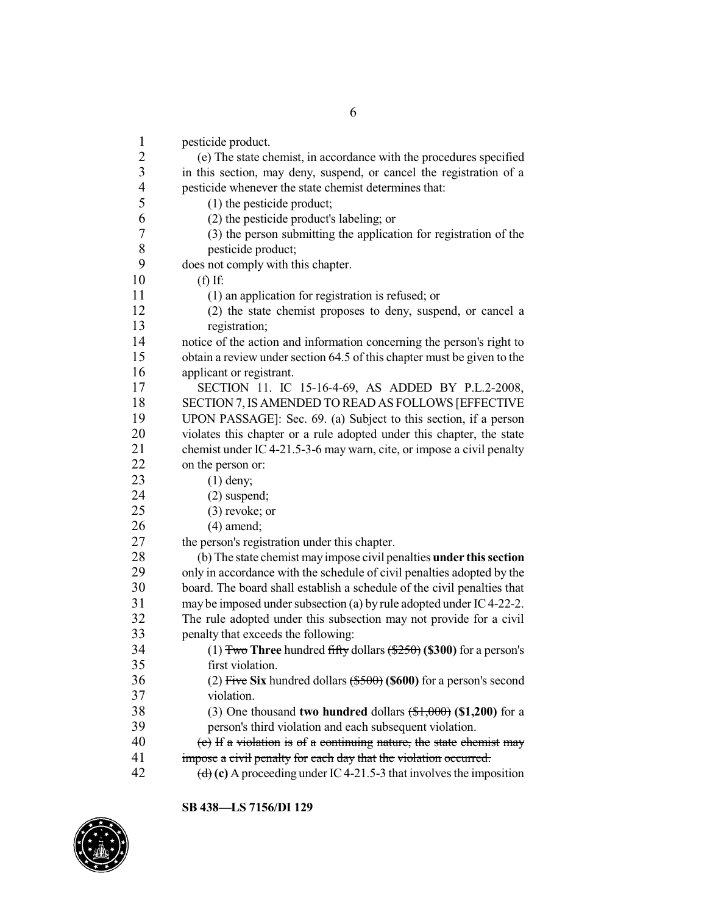| $\mathbf{1}$                                    | pesticide product.                                                            |
|-------------------------------------------------|-------------------------------------------------------------------------------|
|                                                 | (e) The state chemist, in accordance with the procedures specified            |
|                                                 | in this section, may deny, suspend, or cancel the registration of a           |
|                                                 | pesticide whenever the state chemist determines that:                         |
| $\begin{array}{c} 2 \\ 3 \\ 4 \\ 5 \end{array}$ | (1) the pesticide product;                                                    |
| 6                                               | (2) the pesticide product's labeling; or                                      |
| $\overline{7}$                                  | (3) the person submitting the application for registration of the             |
| $8\,$                                           | pesticide product;                                                            |
| 9                                               | does not comply with this chapter.                                            |
| 10                                              | $(f)$ If:                                                                     |
| 11                                              | (1) an application for registration is refused; or                            |
| 12                                              | (2) the state chemist proposes to deny, suspend, or cancel a                  |
| 13                                              | registration;                                                                 |
| 14                                              | notice of the action and information concerning the person's right to         |
| 15                                              | obtain a review under section 64.5 of this chapter must be given to the       |
| 16                                              | applicant or registrant.                                                      |
| 17                                              | SECTION 11. IC 15-16-4-69, AS ADDED BY P.L.2-2008,                            |
| 18                                              | SECTION 7, IS AMENDED TO READ AS FOLLOWS [EFFECTIVE                           |
| 19                                              | UPON PASSAGE]: Sec. 69. (a) Subject to this section, if a person              |
| 20                                              | violates this chapter or a rule adopted under this chapter, the state         |
| 21                                              | chemist under IC 4-21.5-3-6 may warn, cite, or impose a civil penalty         |
| 22                                              | on the person or:                                                             |
| 23                                              |                                                                               |
| 24                                              | $(1)$ deny;                                                                   |
| 25                                              | $(2)$ suspend;                                                                |
|                                                 | $(3)$ revoke; or                                                              |
| 26                                              | $(4)$ amend;                                                                  |
| 27                                              | the person's registration under this chapter.                                 |
| 28                                              | (b) The state chemist may impose civil penalties under this section           |
| 29                                              | only in accordance with the schedule of civil penalties adopted by the        |
| 30                                              | board. The board shall establish a schedule of the civil penalties that       |
| 31                                              | may be imposed under subsection (a) by rule adopted under IC 4-22-2.          |
| 32                                              | The rule adopted under this subsection may not provide for a civil            |
| 33                                              | penalty that exceeds the following:                                           |
| 34                                              | (1) Two Three hundred fifty dollars $(\frac{$250}{9})$ (\$300) for a person's |
| 35                                              | first violation.                                                              |
| 36                                              | (2) Five Six hundred dollars $(\$500)$ (\$600) for a person's second          |
| 37                                              | violation.                                                                    |
| 38                                              | (3) One thousand two hundred dollars $(\frac{1}{2}, 000)$ (\$1,200) for a     |
| 39                                              | person's third violation and each subsequent violation.                       |
| 40                                              | (c) If a violation is of a continuing nature, the state chemist may           |
| 41                                              | impose a civil penalty for each day that the violation occurred.              |
| 42                                              | (d) (c) A proceeding under IC 4-21.5-3 that involves the imposition           |

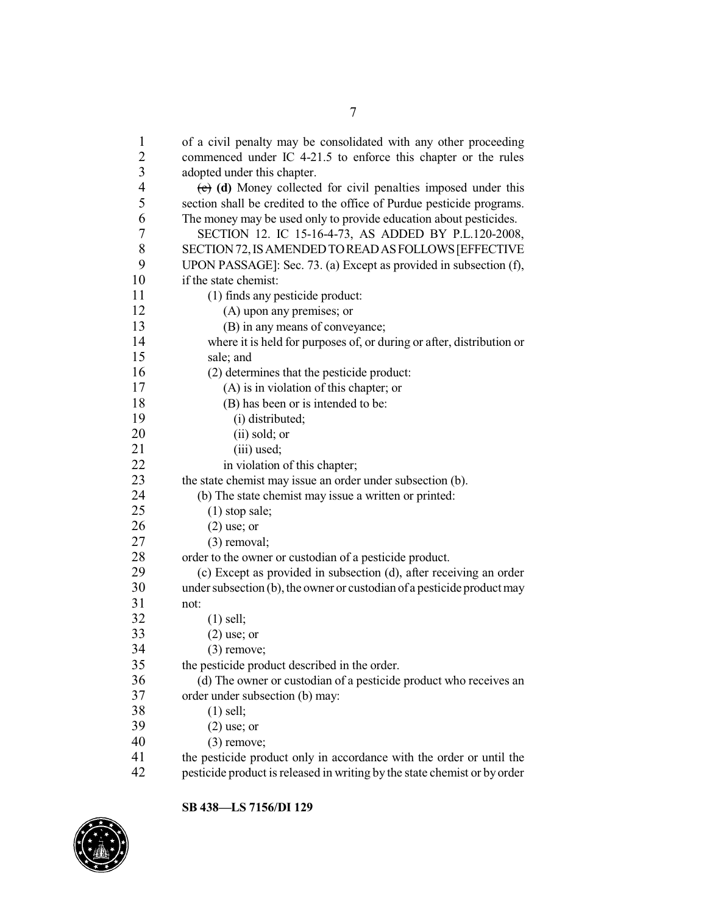| $\mathbf{1}$     | of a civil penalty may be consolidated with any other proceeding          |
|------------------|---------------------------------------------------------------------------|
| $\overline{2}$   | commenced under IC 4-21.5 to enforce this chapter or the rules            |
| $\mathfrak{Z}$   | adopted under this chapter.                                               |
| $\overline{4}$   | $(e)$ (d) Money collected for civil penalties imposed under this          |
| 5                | section shall be credited to the office of Purdue pesticide programs.     |
| 6                | The money may be used only to provide education about pesticides.         |
| $\boldsymbol{7}$ | SECTION 12. IC 15-16-4-73, AS ADDED BY P.L.120-2008,                      |
| 8                | SECTION 72, IS AMENDED TO READ AS FOLLOWS [EFFECTIVE                      |
| 9                | UPON PASSAGE]: Sec. 73. (a) Except as provided in subsection (f),         |
| 10               | if the state chemist:                                                     |
| 11               | (1) finds any pesticide product:                                          |
| 12               | (A) upon any premises; or                                                 |
| 13               | (B) in any means of conveyance;                                           |
| 14               | where it is held for purposes of, or during or after, distribution or     |
| 15               | sale; and                                                                 |
| 16               | (2) determines that the pesticide product:                                |
| 17               | (A) is in violation of this chapter; or                                   |
| 18               | (B) has been or is intended to be:                                        |
| 19               | (i) distributed;                                                          |
| 20               | (ii) sold; or                                                             |
| 21               | (iii) used;                                                               |
| 22               | in violation of this chapter;                                             |
| 23               | the state chemist may issue an order under subsection (b).                |
| 24               | (b) The state chemist may issue a written or printed:                     |
| 25               | $(1)$ stop sale;                                                          |
| 26               | $(2)$ use; or                                                             |
| 27               | $(3)$ removal;                                                            |
| 28               | order to the owner or custodian of a pesticide product.                   |
| 29               | (c) Except as provided in subsection (d), after receiving an order        |
| 30               | under subsection (b), the owner or custodian of a pesticide product may   |
| 31               | not:                                                                      |
| 32               | $(1)$ sell;                                                               |
| 33               | $(2)$ use; or                                                             |
| 34               | $(3)$ remove;                                                             |
| 35               | the pesticide product described in the order.                             |
| 36               | (d) The owner or custodian of a pesticide product who receives an         |
| 37               | order under subsection (b) may:                                           |
| 38               | $(1)$ sell;                                                               |
| 39               | $(2)$ use; or                                                             |
| 40               | $(3)$ remove;                                                             |
| 41               | the pesticide product only in accordance with the order or until the      |
| 42               | pesticide product is released in writing by the state chemist or by order |

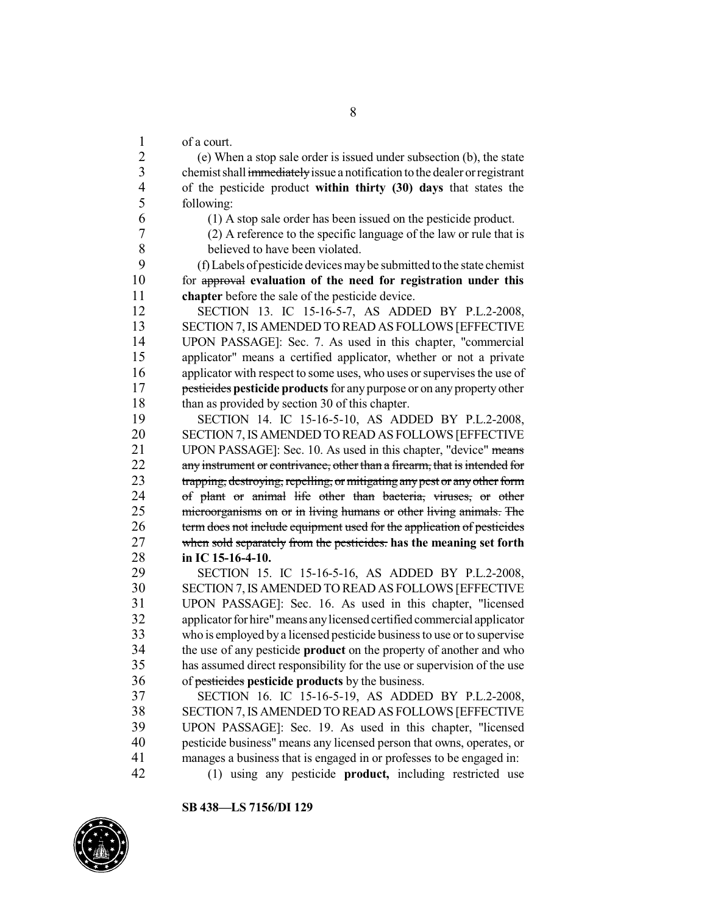of a court.

 (e) When a stop sale order is issued under subsection (b), the state 3 chemist shall immediately issue a notification to the dealer or registrant of the pesticide product **within thirty (30) days** that states the following:

(1) A stop sale order has been issued on the pesticide product.

 (2) A reference to the specific language of the law or rule that is believed to have been violated.

 (f) Labels of pesticide devicesmaybe submitted to the state chemist for approval **evaluation of the need for registration under this chapter** before the sale of the pesticide device.

 SECTION 13. IC 15-16-5-7, AS ADDED BY P.L.2-2008, SECTION 7,IS AMENDED TO READ AS FOLLOWS [EFFECTIVE 14 UPON PASSAGE]: Sec. 7. As used in this chapter, "commercial<br>15 applicator" means a certified applicator, whether or not a private applicator" means a certified applicator, whether or not a private 16 applicator with respect to some uses, who uses or supervises the use of pesticides **pesticide products** for any purpose or on any property other 18 than as provided by section 30 of this chapter.

 SECTION 14. IC 15-16-5-10, AS ADDED BY P.L.2-2008, SECTION 7,IS AMENDED TO READ AS FOLLOWS [EFFECTIVE 21 UPON PASSAGE]: Sec. 10. As used in this chapter, "device" means 22 any instrument or contrivance, other than a firearm, that is intended for 23 trapping, destroying, repelling, or mitigating any pest or any other form<br>24 of plant or animal life other than bacteria viruses or other of plant or animal life other than bacteria, viruses, or other microorganisms on or in living humans or other living animals. The term does not include equipment used for the application of pesticides when sold separately from the pesticides. **has the meaning set forth in IC 15-16-4-10.**

 SECTION 15. IC 15-16-5-16, AS ADDED BY P.L.2-2008, SECTION 7,IS AMENDED TO READ AS FOLLOWS [EFFECTIVE UPON PASSAGE]: Sec. 16. As used in this chapter, "licensed applicator for hire"means anylicensed certified commercial applicator who is employed by a licensed pesticide businessto use or to supervise the use of any pesticide **product** on the property of another and who has assumed direct responsibility for the use or supervision of the use of pesticides **pesticide products** by the business.

 SECTION 16. IC 15-16-5-19, AS ADDED BY P.L.2-2008, SECTION 7,IS AMENDED TO READ AS FOLLOWS [EFFECTIVE UPON PASSAGE]: Sec. 19. As used in this chapter, "licensed pesticide business" means any licensed person that owns, operates, or manages a business that is engaged in or professes to be engaged in:

(1) using any pesticide **product,** including restricted use

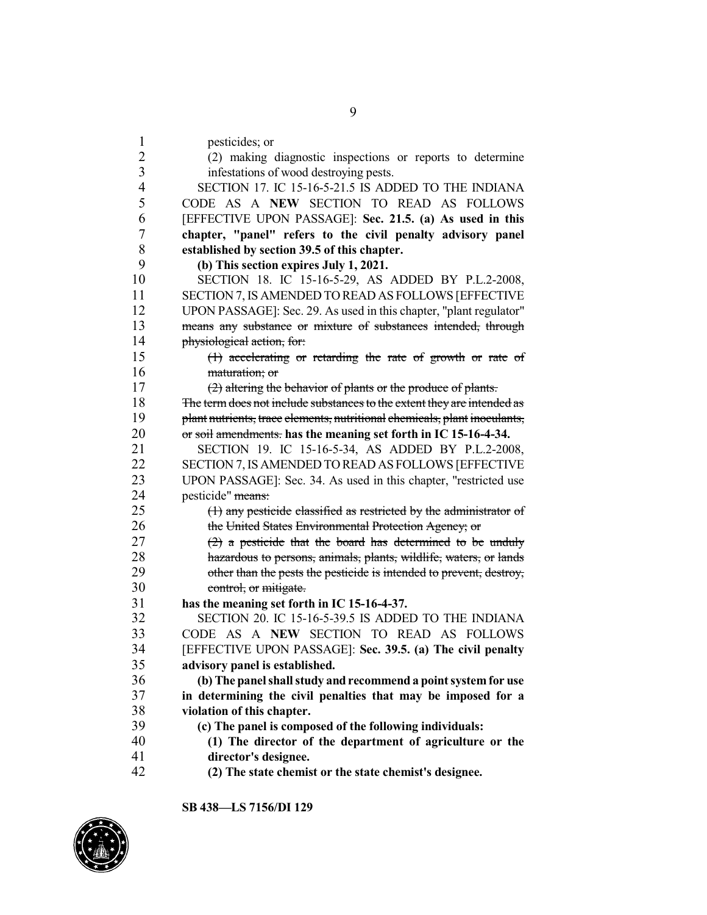pesticides; or (2) making diagnostic inspections or reports to determine infestations of wood destroying pests. SECTION 17. IC 15-16-5-21.5 IS ADDED TO THE INDIANA CODE AS A **NEW** SECTION TO READ AS FOLLOWS [EFFECTIVE UPON PASSAGE]: **Sec. 21.5. (a) As used in this chapter, "panel" refers to the civil penalty advisory panel established by section 39.5 of this chapter. (b) This section expires July 1, 2021.** SECTION 18. IC 15-16-5-29, AS ADDED BY P.L.2-2008, SECTION 7,IS AMENDED TO READ AS FOLLOWS [EFFECTIVE UPON PASSAGE]: Sec. 29. As used in this chapter, "plant regulator" means any substance or mixture of substances intended, through physiological action, for: (1) accelerating or retarding the rate of growth or rate of 16 maturation; or (2) altering the behavior of plants or the produce of plants. 18 The term does not include substances to the extent they are intended as plant nutrients, trace elements, nutritional chemicals, plant inoculants, or soil amendments. **has the meaning set forth in IC 15-16-4-34.** SECTION 19. IC 15-16-5-34, AS ADDED BY P.L.2-2008, SECTION 7,IS AMENDED TO READ AS FOLLOWS [EFFECTIVE UPON PASSAGE]: Sec. 34. As used in this chapter, "restricted use pesticide" means: (1) any pesticide classified as restricted by the administrator of 26 the United States Environmental Protection Agency; or  $(2)$  a pesticide that the board has determined to be unduly hazardous to persons, animals, plants, wildlife, waters, or lands 29 other than the pests the pesticide is intended to prevent, destroy, control, or mitigate. **has the meaning set forth in IC 15-16-4-37.**<br>32 **SECTION** 20. IC 15-16-5-39.5 IS ADDE SECTION 20. IC 15-16-5-39.5 IS ADDED TO THE INDIANA CODE AS A **NEW** SECTION TO READ AS FOLLOWS [EFFECTIVE UPON PASSAGE]: **Sec. 39.5. (a) The civil penalty advisory panel is established. (b) The panelshall study and recommend a point system for use in determining the civil penalties that may be imposed for a violation of this chapter.**<br>39 **(c)** The panel is compo **(c) The panel is composed of the following individuals: (1) The director of the department of agriculture or the director's designee.**

**(2) The state chemist or the state chemist's designee.**

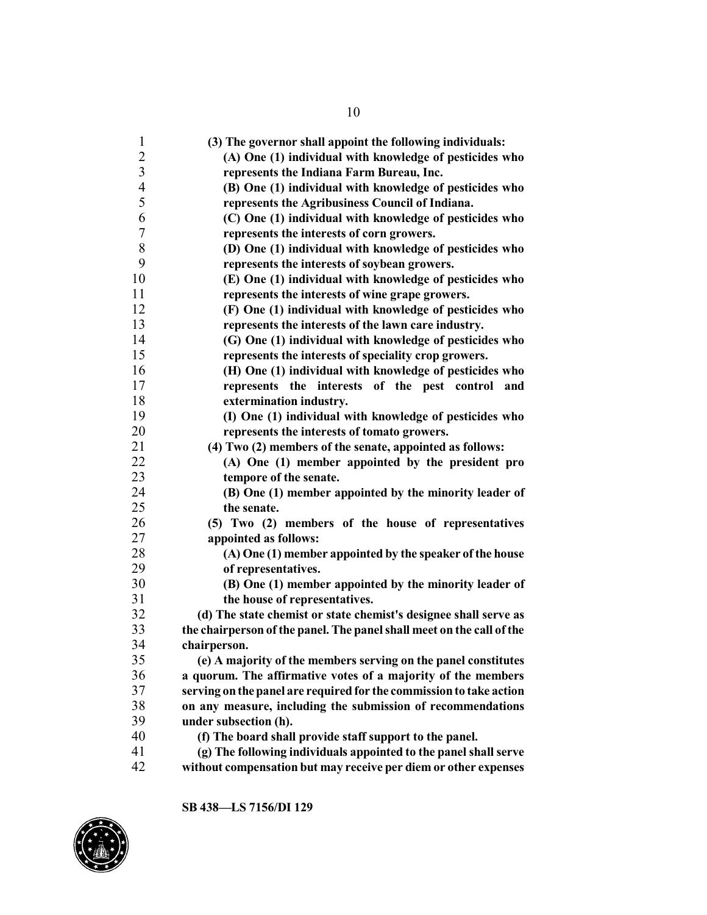| $\mathbf{1}$   | (3) The governor shall appoint the following individuals:             |
|----------------|-----------------------------------------------------------------------|
| $\overline{c}$ | (A) One (1) individual with knowledge of pesticides who               |
| $\overline{3}$ | represents the Indiana Farm Bureau, Inc.                              |
| $\overline{4}$ | (B) One (1) individual with knowledge of pesticides who               |
| 5              | represents the Agribusiness Council of Indiana.                       |
| 6              | (C) One (1) individual with knowledge of pesticides who               |
| 7              | represents the interests of corn growers.                             |
| 8              | (D) One (1) individual with knowledge of pesticides who               |
| 9              | represents the interests of soybean growers.                          |
| 10             | (E) One (1) individual with knowledge of pesticides who               |
| 11             | represents the interests of wine grape growers.                       |
| 12             | (F) One (1) individual with knowledge of pesticides who               |
| 13             | represents the interests of the lawn care industry.                   |
| 14             | (G) One (1) individual with knowledge of pesticides who               |
| 15             | represents the interests of speciality crop growers.                  |
| 16             | (H) One (1) individual with knowledge of pesticides who               |
| 17             | represents the interests of the pest control and                      |
| 18             | extermination industry.                                               |
| 19             | (I) One (1) individual with knowledge of pesticides who               |
| 20             | represents the interests of tomato growers.                           |
| 21             | (4) Two (2) members of the senate, appointed as follows:              |
| 22             | (A) One (1) member appointed by the president pro                     |
| 23             | tempore of the senate.                                                |
| 24             | (B) One (1) member appointed by the minority leader of                |
| 25             | the senate.                                                           |
| 26             | (5) Two (2) members of the house of representatives                   |
| 27             | appointed as follows:                                                 |
| 28             | (A) One (1) member appointed by the speaker of the house              |
| 29             | of representatives.                                                   |
| 30             | (B) One (1) member appointed by the minority leader of                |
| 31             | the house of representatives.                                         |
| 32             | (d) The state chemist or state chemist's designee shall serve as      |
| 33             | the chairperson of the panel. The panel shall meet on the call of the |
| 34             | chairperson.                                                          |
| 35             | (e) A majority of the members serving on the panel constitutes        |
| 36             | a quorum. The affirmative votes of a majority of the members          |
| 37             | serving on the panel are required for the commission to take action   |
| 38             | on any measure, including the submission of recommendations           |
| 39             | under subsection (h).                                                 |
| 40             | (f) The board shall provide staff support to the panel.               |
| 41             | (g) The following individuals appointed to the panel shall serve      |
| 42             | without compensation but may receive per diem or other expenses       |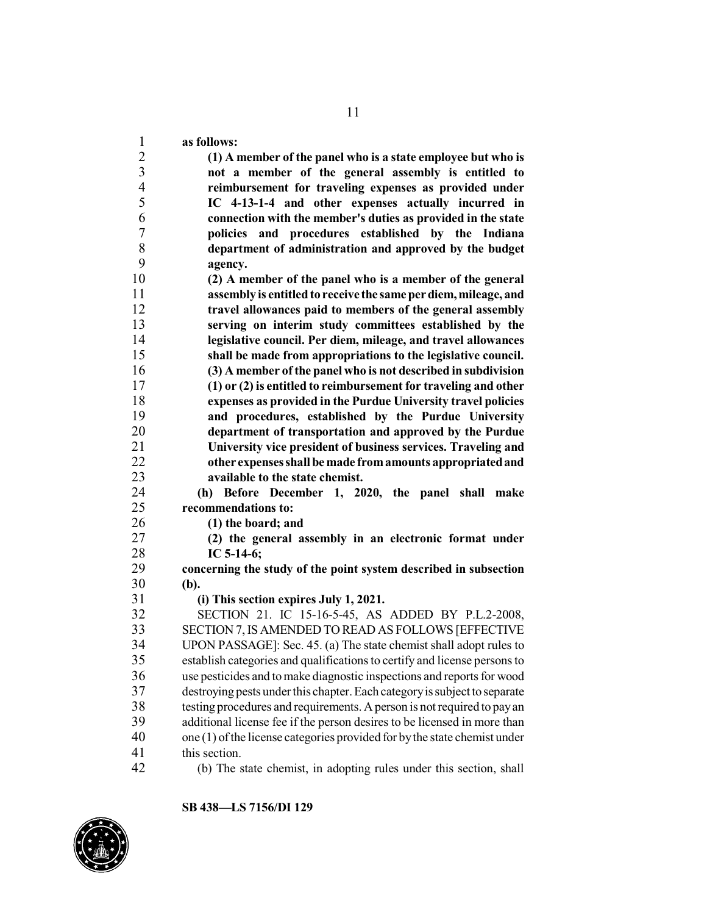**as follows: (1) A member of the panel who is a state employee but who is not a member of the general assembly is entitled to reimbursement for traveling expenses as provided under IC 4-13-1-4 and other expenses actually incurred in connection with the member's duties as provided in the state policies and procedures established by the Indiana department of administration and approved by the budget agency. (2) A member of the panel who is a member of the general assembly is entitledto receive the same perdiem,mileage, and travel allowances paid to members of the general assembly serving on interim study committees established by the legislative council. Per diem, mileage, and travel allowances shall be made from appropriations to the legislative council. (3) A member ofthe panel who is not described in subdivision (1) or (2) is entitled to reimbursement for traveling and other expenses as provided in the Purdue University travel policies and procedures, established by the Purdue University department of transportation and approved by the Purdue University vice president of business services. Traveling and other expenses shall be made fromamounts appropriatedand available to the state chemist. (h) Before December 1, 2020, the panel shall make recommendations to: (1) the board; and (2) the general assembly in an electronic format under IC 5-14-6; concerning the study of the point system described in subsection (b). (i) This section expires July 1, 2021.** SECTION 21. IC 15-16-5-45, AS ADDED BY P.L.2-2008, SECTION 7,IS AMENDED TO READ AS FOLLOWS [EFFECTIVE UPON PASSAGE]: Sec. 45. (a) The state chemist shall adopt rules to establish categories and qualificationsto certify and license personsto use pesticides and tomake diagnostic inspections and reports for wood destroying pests under this chapter.Each categoryissubject to separate testing procedures and requirements. Aperson is not required to payan 39 additional license fee if the person desires to be licensed in more than<br>40 one (1) of the license categories provided for by the state chemist under one  $(1)$  of the license categories provided for by the state chemist under this section. (b) The state chemist, in adopting rules under this section, shall

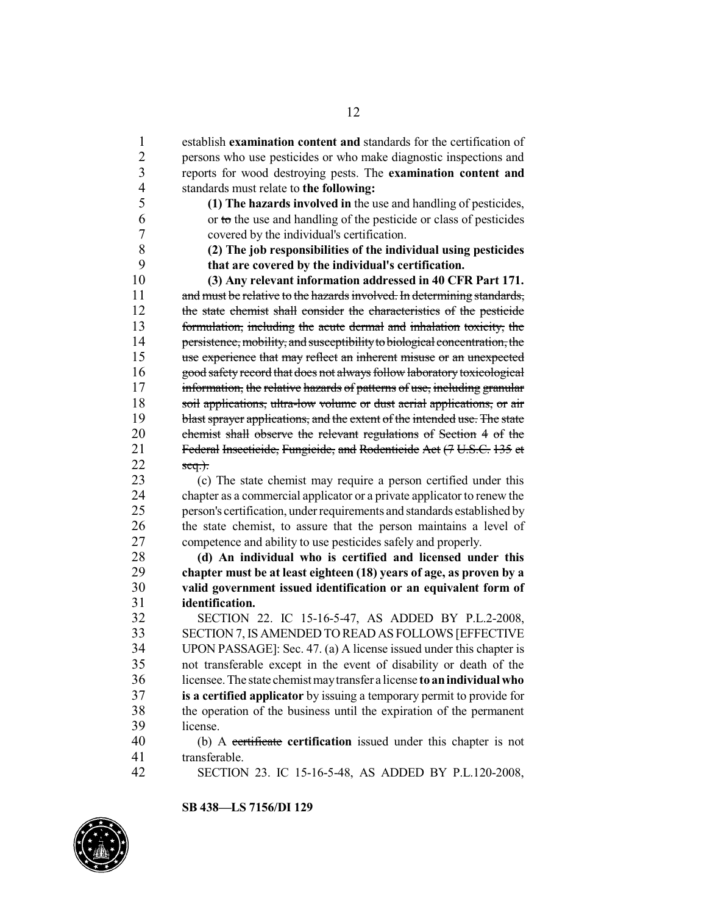establish **examination content and** standards for the certification of 2 persons who use pesticides or who make diagnostic inspections and reports for wood destroying pests. The **examination content and**  reports for wood destroying pests. The **examination content and** standards must relate to **the following: (1) The hazards involved in** the use and handling of pesticides, or to the use and handling of the pesticide or class of pesticides 7 covered by the individual's certification.<br>8 (2) The iob responsibilities of the indiv **(2) The job responsibilities of the individual using pesticides that are covered by the individual's certification. (3) Any relevant information addressed in 40 CFR Part 171.** 11 and must be relative to the hazards involved. In determining standards, the state chemist shall consider the characteristics of the pesticide formulation, including the acute dermal and inhalation toxicity, the 14 persistence, mobility, and susceptibility to biological concentration, the<br>15 use experience that may reflect an inherent misuse or an unexpected use experience that may reflect an inherent misuse or an unexpected 16 good safety record that does not always follow laboratory toxicological 17 information, the relative hazards of patterns of use, including granular 18 soil applications, ultra-low volume or dust aerial applications, or air 19 blast sprayer applications, and the extent of the intended use. The state chemist shall observe the relevant regulations of Section 4 of the 21 Federal Insecticide, Fungicide, and Rodenticide Act (7 U.S.C. 135 et seq.). 23 (c) The state chemist may require a person certified under this chapter as a commercial applicator or a private applicator to renew the chapter as a commercial applicator or a private applicator to renew the person's certification, under requirements and standards established by the state chemist, to assure that the person maintains a level of competence and ability to use pesticides safely and properly. **(d) An individual who is certified and licensed under this chapter must be at least eighteen (18) years of age, as proven by a valid government issued identification or an equivalent form of identification.** SECTION 22. IC 15-16-5-47, AS ADDED BY P.L.2-2008, SECTION 7,IS AMENDED TO READ AS FOLLOWS [EFFECTIVE UPON PASSAGE]: Sec. 47. (a) A license issued under this chapter is not transferable except in the event of disability or death of the licensee.The state chemist maytransfer a license **to anindividualwho is a certified applicator** by issuing a temporary permit to provide for 38 the operation of the business until the expiration of the permanent 139 license. (b) A certificate **certification** issued under this chapter is not transferable. SECTION 23. IC 15-16-5-48, AS ADDED BY P.L.120-2008,

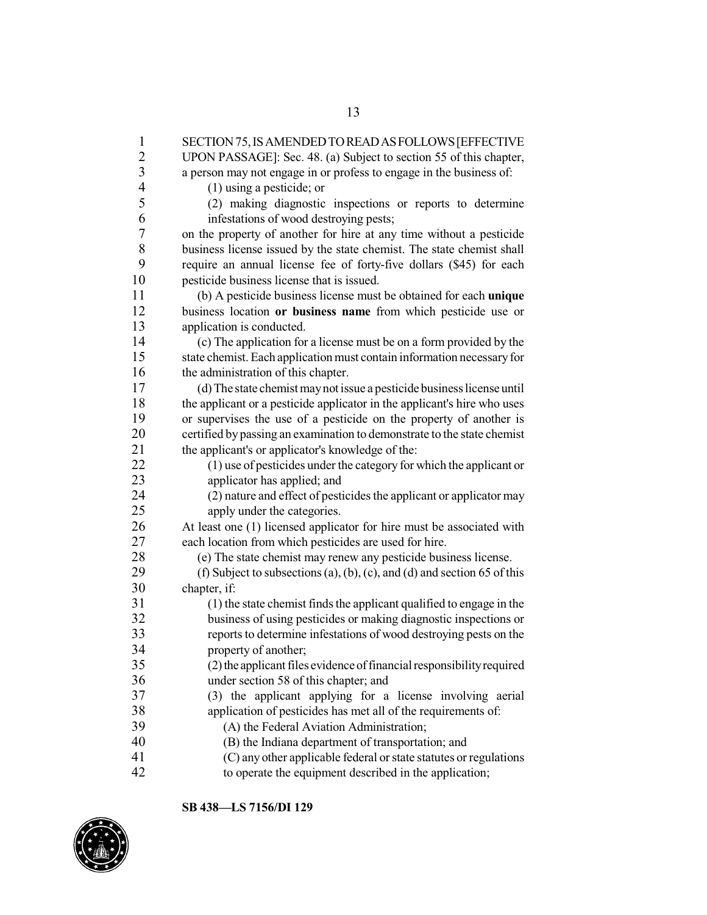| 1              | SECTION 75, IS AMENDED TO READ AS FOLLOWS [EFFECTIVE                     |
|----------------|--------------------------------------------------------------------------|
| $\overline{c}$ | UPON PASSAGE]: Sec. 48. (a) Subject to section 55 of this chapter,       |
| $\overline{3}$ | a person may not engage in or profess to engage in the business of:      |
| $\overline{4}$ | $(1)$ using a pesticide; or                                              |
| 5              | (2) making diagnostic inspections or reports to determine                |
| 6              | infestations of wood destroying pests;                                   |
| 7              | on the property of another for hire at any time without a pesticide      |
| 8              | business license issued by the state chemist. The state chemist shall    |
| 9              | require an annual license fee of forty-five dollars (\$45) for each      |
| 10             | pesticide business license that is issued.                               |
| 11             | (b) A pesticide business license must be obtained for each unique        |
| 12             | business location or business name from which pesticide use or           |
| 13             | application is conducted.                                                |
| 14             | (c) The application for a license must be on a form provided by the      |
| 15             | state chemist. Each application must contain information necessary for   |
| 16             | the administration of this chapter.                                      |
| 17             | (d) The state chemist may not issue a pesticide business license until   |
| 18             | the applicant or a pesticide applicator in the applicant's hire who uses |
| 19             | or supervises the use of a pesticide on the property of another is       |
| 20             | certified by passing an examination to demonstrate to the state chemist  |
| 21             | the applicant's or applicator's knowledge of the:                        |
| 22             | (1) use of pesticides under the category for which the applicant or      |
| 23             | applicator has applied; and                                              |
| 24             | (2) nature and effect of pesticides the applicant or applicator may      |
| 25             | apply under the categories.                                              |
| 26             | At least one (1) licensed applicator for hire must be associated with    |
| 27             | each location from which pesticides are used for hire.                   |
| 28             | (e) The state chemist may renew any pesticide business license.          |
| 29             | (f) Subject to subsections (a), (b), (c), and (d) and section 65 of this |
| 30             | chapter, if:                                                             |
| 31             | (1) the state chemist finds the applicant qualified to engage in the     |
| 32             | business of using pesticides or making diagnostic inspections or         |
| 33             | reports to determine infestations of wood destroying pests on the        |
| 34             | property of another;                                                     |
| 35             | (2) the applicant files evidence of financial responsibility required    |
| 36             | under section 58 of this chapter; and                                    |
| 37             | (3) the applicant applying for a license involving aerial                |
| 38             | application of pesticides has met all of the requirements of:            |
| 39             | (A) the Federal Aviation Administration;                                 |
| 40             | (B) the Indiana department of transportation; and                        |
| 41             | (C) any other applicable federal or state statutes or regulations        |
| 42             | to operate the equipment described in the application;                   |
|                |                                                                          |

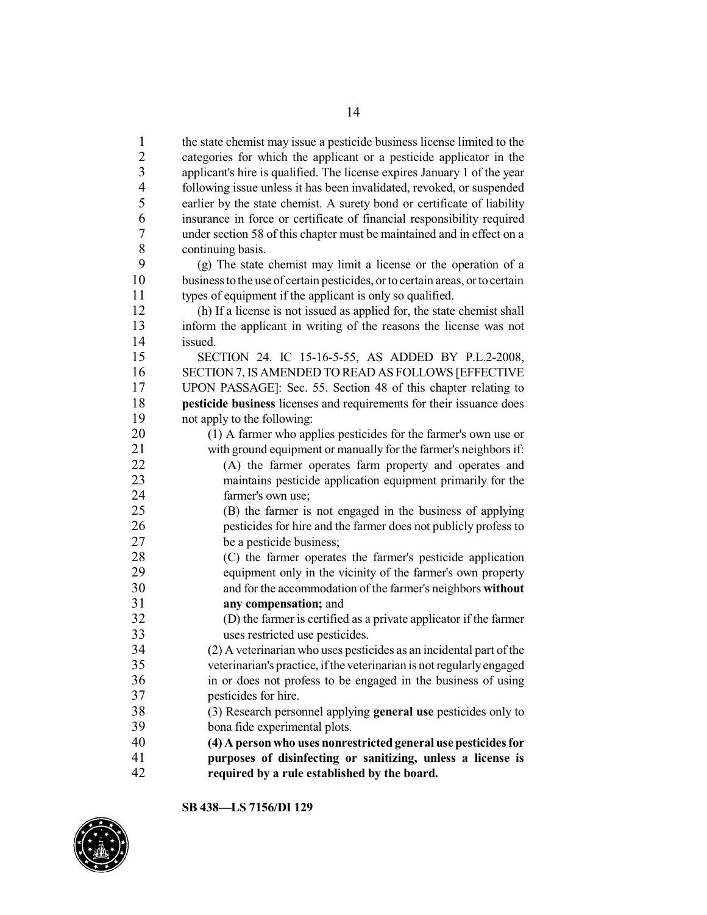1 the state chemist may issue a pesticide business license limited to the categories for which the applicant or a pesticide applicator in the categories for which the applicant or a pesticide applicator in the applicant's hire is qualified. The license expires January 1 of the year following issue unless it has been invalidated, revoked, or suspended 5 earlier by the state chemist. A surety bond or certificate of liability<br>6 insurance in force or certificate of financial responsibility required insurance in force or certificate of financial responsibility required under section 58 of this chapter must be maintained and in effect on a 8 continuing basis.<br>9 (a) The state

9 (g) The state chemist may limit a license or the operation of a business to the use of certain pesticides, or to certain areas, or to certain business to the use of certain pesticides, or to certain areas, or to certain types of equipment if the applicant is only so qualified.

 (h) If a license is not issued as applied for, the state chemist shall inform the applicant in writing of the reasons the license was not 14 issued.<br>15 SEC

SECTION 24. IC 15-16-5-55, AS ADDED BY P.L.2-2008, SECTION 7,IS AMENDED TO READ AS FOLLOWS [EFFECTIVE UPON PASSAGE]: Sec. 55. Section 48 of this chapter relating to **pesticide business** licenses and requirements for their issuance does not apply to the following:

 (1) A farmer who applies pesticides for the farmer's own use or with ground equipment or manually for the farmer's neighborsif:

 (A) the farmer operates farm property and operates and 23 maintains pesticide application equipment primarily for the 24 farmer's own use: farmer's own use;

 (B) the farmer is not engaged in the business of applying pesticides for hire and the farmer does not publicly profess to be a pesticide business;

 (C) the farmer operates the farmer's pesticide application equipment only in the vicinity of the farmer's own property and for the accommodation of the farmer's neighbors **without any compensation;** and<br>32 **(D)** the farmer is certified

 (D) the farmer is certified as a private applicator if the farmer uses restricted use pesticides.

 (2) A veterinarian who uses pesticides as an incidental part ofthe veterinarian's practice, ifthe veterinarian is not regularlyengaged in or does not profess to be engaged in the business of using pesticides for hire.

 (3) Research personnel applying **general use** pesticides only to bona fide experimental plots.

 **(4) A person who uses nonrestrictedgeneral use pesticidesfor purposes of disinfecting or sanitizing, unless a license is required by a rule established by the board.**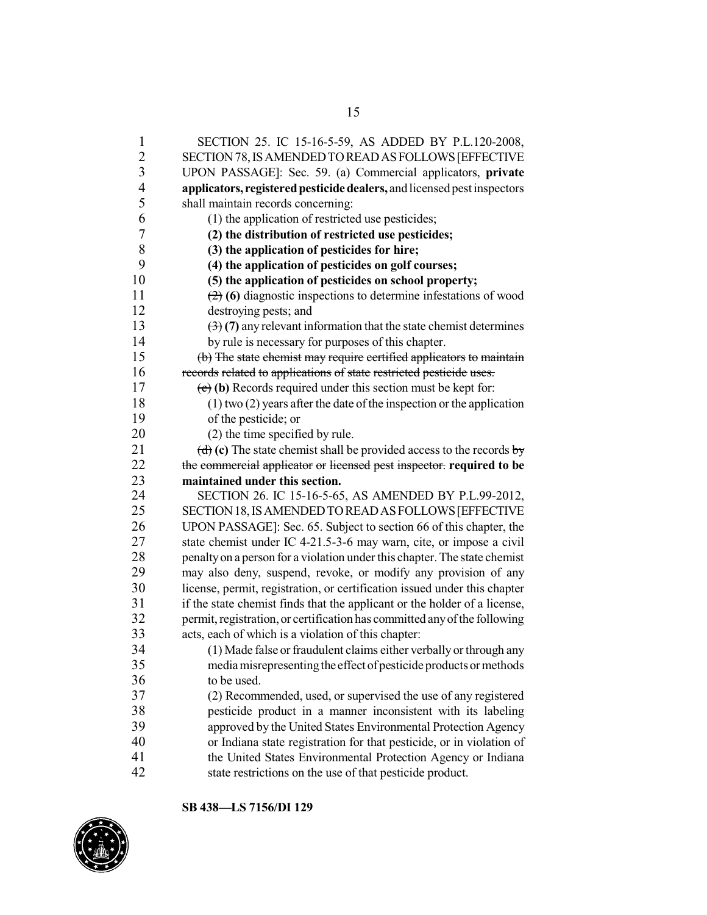SECTION 25. IC 15-16-5-59, AS ADDED BY P.L.120-2008, SECTION78,ISAMENDEDTOREADASFOLLOWS[EFFECTIVE UPON PASSAGE]: Sec. 59. (a) Commercial applicators, **private applicators, registeredpesticide dealers,** and licensedpestinspectors shall maintain records concerning: (1) the application of restricted use pesticides; **(2) the distribution of restricted use pesticides; (3) the application of pesticides for hire; (4) the application of pesticides on golf courses; (5) the application of pesticides on school property;** (2) **(6)** diagnostic inspections to determine infestations of wood destroying pests; and (3) **(7)** any relevant information that the state chemist determines 14 by rule is necessary for purposes of this chapter.<br>15 <del>(b) The state chemist may require certified application</del> (b) The state chemist may require certified applicators to maintain records related to applications of state restricted pesticide uses. (c) **(b)** Records required under this section must be kept for: (1) two (2) years after the date ofthe inspection or the application of the pesticide; or 20 (2) the time specified by rule.  $(d)$  (c) The state chemist shall be provided access to the records by the commercial applicator or licensed pest inspector. **required to be maintained under this section.**<br>24 **SECTION** 26, IC 15-16-5-65 SECTION 26. IC 15-16-5-65, AS AMENDED BY P.L.99-2012, SECTION18,ISAMENDEDTOREADASFOLLOWS[EFFECTIVE 26 UPON PASSAGE]: Sec. 65. Subject to section 66 of this chapter, the<br>27 state chemist under IC 4-21.5-3-6 may warn, cite, or impose a civil state chemist under IC 4-21.5-3-6 may warn, cite, or impose a civil penaltyon a person for a violation under this chapter.The state chemist may also deny, suspend, revoke, or modify any provision of any license, permit, registration, or certification issued under this chapter 31 if the state chemist finds that the applicant or the holder of a license,<br>32 nermit registration or certification has committed any of the following permit, registration, or certification has committed any of the following acts, each of which is a violation of this chapter: 34 (1) Made false or fraudulent claims either verbally or through any<br>35 media misrepresenting the effect of pesticide products or methods media misrepresenting the effect of pesticide products or methods to be used. (2) Recommended, used, or supervised the use of any registered pesticide product in a manner inconsistent with its labeling approved by the United States Environmental Protection Agency or Indiana state registration for that pesticide, or in violation of the United States Environmental Protection Agency or Indiana state restrictions on the use of that pesticide product.

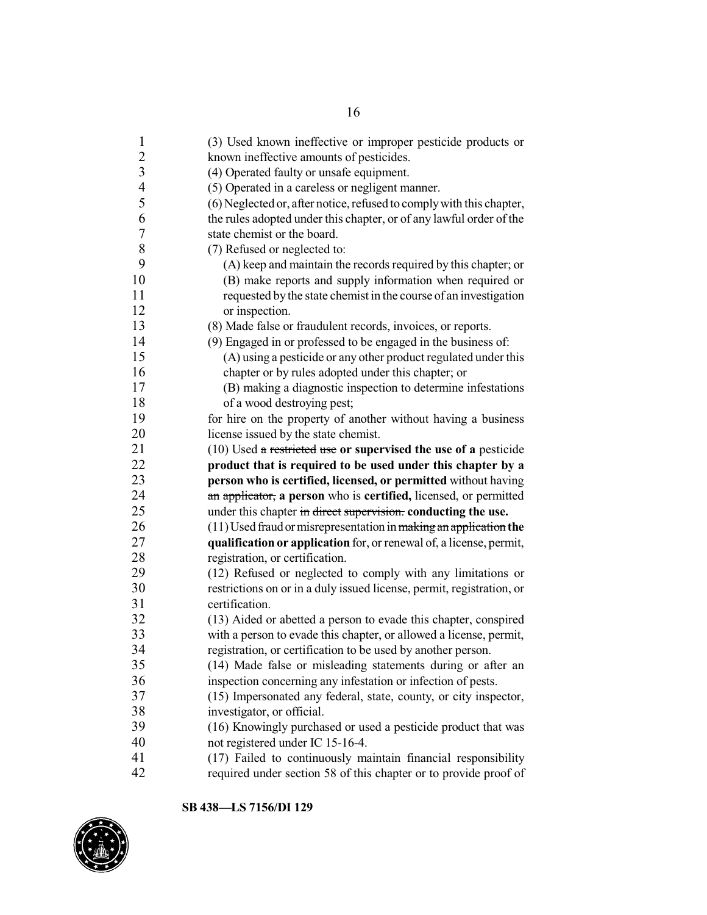| $\mathbf{1}$             | (3) Used known ineffective or improper pesticide products or          |
|--------------------------|-----------------------------------------------------------------------|
| $\overline{c}$           | known ineffective amounts of pesticides.                              |
| 3                        | (4) Operated faulty or unsafe equipment.                              |
| $\overline{\mathcal{L}}$ | (5) Operated in a careless or negligent manner.                       |
| 5                        | (6) Neglected or, after notice, refused to comply with this chapter,  |
| 6                        | the rules adopted under this chapter, or of any lawful order of the   |
| $\boldsymbol{7}$         | state chemist or the board.                                           |
| $8\,$                    | (7) Refused or neglected to:                                          |
| 9                        | (A) keep and maintain the records required by this chapter; or        |
| 10                       | (B) make reports and supply information when required or              |
| 11                       | requested by the state chemist in the course of an investigation      |
| 12                       | or inspection.                                                        |
| 13                       | (8) Made false or fraudulent records, invoices, or reports.           |
| 14                       | (9) Engaged in or professed to be engaged in the business of:         |
| 15                       | (A) using a pesticide or any other product regulated under this       |
| 16                       | chapter or by rules adopted under this chapter; or                    |
| 17                       | (B) making a diagnostic inspection to determine infestations          |
| 18                       | of a wood destroying pest;                                            |
| 19                       | for hire on the property of another without having a business         |
| 20                       | license issued by the state chemist.                                  |
| 21                       | $(10)$ Used a restricted use or supervised the use of a pesticide     |
| 22                       | product that is required to be used under this chapter by a           |
| 23                       | person who is certified, licensed, or permitted without having        |
| 24                       | an applicator, a person who is certified, licensed, or permitted      |
| 25                       | under this chapter in direct supervision. conducting the use.         |
| 26                       | (11) Used fraud or misrepresentation in making an application the     |
| 27                       | qualification or application for, or renewal of, a license, permit,   |
| 28                       | registration, or certification.                                       |
| 29                       | (12) Refused or neglected to comply with any limitations or           |
| 30                       | restrictions on or in a duly issued license, permit, registration, or |
| 31                       | certification.                                                        |
| 32                       | (13) Aided or abetted a person to evade this chapter, conspired       |
| 33                       | with a person to evade this chapter, or allowed a license, permit,    |
| 34                       | registration, or certification to be used by another person.          |
| 35                       | (14) Made false or misleading statements during or after an           |
| 36                       | inspection concerning any infestation or infection of pests.          |
| 37                       | (15) Impersonated any federal, state, county, or city inspector,      |
| 38                       | investigator, or official.                                            |
| 39                       | (16) Knowingly purchased or used a pesticide product that was         |
| 40                       | not registered under IC 15-16-4.                                      |
| 41                       | (17) Failed to continuously maintain financial responsibility         |
| 42                       | required under section 58 of this chapter or to provide proof of      |
|                          |                                                                       |

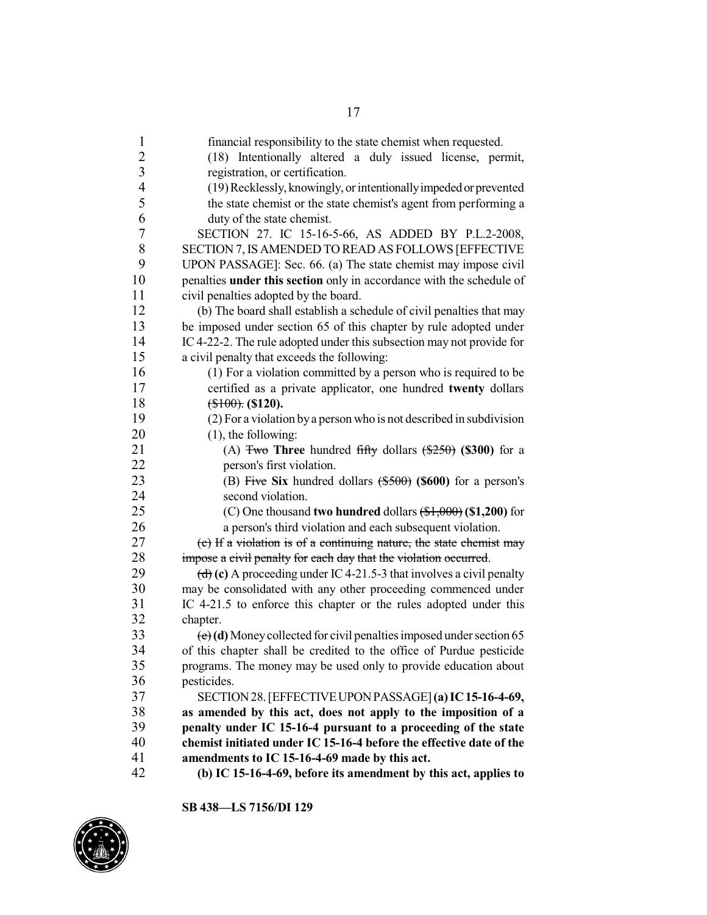| 1                       | financial responsibility to the state chemist when requested.                                  |
|-------------------------|------------------------------------------------------------------------------------------------|
| $\overline{c}$          | (18) Intentionally altered a duly issued license, permit,                                      |
| $\overline{\mathbf{3}}$ | registration, or certification.                                                                |
| $\overline{4}$          | (19) Recklessly, knowingly, or intentionally impeded or prevented                              |
| 5                       | the state chemist or the state chemist's agent from performing a                               |
| 6                       | duty of the state chemist.                                                                     |
| 7                       | SECTION 27. IC 15-16-5-66, AS ADDED BY P.L.2-2008,                                             |
| 8                       | SECTION 7, IS AMENDED TO READ AS FOLLOWS [EFFECTIVE                                            |
| 9                       | UPON PASSAGE]: Sec. 66. (a) The state chemist may impose civil                                 |
| 10                      | penalties under this section only in accordance with the schedule of                           |
| 11                      | civil penalties adopted by the board.                                                          |
| 12                      | (b) The board shall establish a schedule of civil penalties that may                           |
| 13                      | be imposed under section 65 of this chapter by rule adopted under                              |
| 14                      | IC 4-22-2. The rule adopted under this subsection may not provide for                          |
| 15                      | a civil penalty that exceeds the following:                                                    |
| 16                      | (1) For a violation committed by a person who is required to be                                |
| 17                      | certified as a private applicator, one hundred twenty dollars                                  |
| 18                      | $(\$100)$ : (\$120).                                                                           |
| 19                      | (2) For a violation by a person who is not described in subdivision                            |
| 20                      | $(1)$ , the following:                                                                         |
| 21                      | (A) $\frac{250}{100}$ Three hundred fifty dollars $\left(\frac{250}{100}\right)$ (\$300) for a |
| 22                      |                                                                                                |
|                         | person's first violation.                                                                      |
| 23<br>24                | (B) Five Six hundred dollars $(*500)$ (\$600) for a person's                                   |
|                         | second violation.                                                                              |
| 25                      | (C) One thousand two hundred dollars $(\text{$}1,\text{$}000)$ (\$1,200) for                   |
| 26                      | a person's third violation and each subsequent violation.                                      |
| 27                      | (c) If a violation is of a continuing nature, the state chemist may                            |
| 28                      | impose a civil penalty for each day that the violation occurred.                               |
| 29                      | (d) (c) A proceeding under IC 4-21.5-3 that involves a civil penalty                           |
| 30                      | may be consolidated with any other proceeding commenced under                                  |
| 31                      | IC 4-21.5 to enforce this chapter or the rules adopted under this                              |
| 32                      | chapter.                                                                                       |
| 33                      | $\left(\frac{e}{e}\right)$ (d) Money collected for civil penalties imposed under section 65    |
| 34                      | of this chapter shall be credited to the office of Purdue pesticide                            |
| 35                      | programs. The money may be used only to provide education about                                |
| 36                      | pesticides.                                                                                    |
| 37                      | SECTION 28. [EFFECTIVE UPON PASSAGE] (a) IC 15-16-4-69,                                        |
| 38                      | as amended by this act, does not apply to the imposition of a                                  |
| 39                      | penalty under IC 15-16-4 pursuant to a proceeding of the state                                 |
| 40                      | chemist initiated under IC 15-16-4 before the effective date of the                            |
| 41                      | amendments to IC 15-16-4-69 made by this act.                                                  |
| 42                      | (b) IC 15-16-4-69, before its amendment by this act, applies to                                |

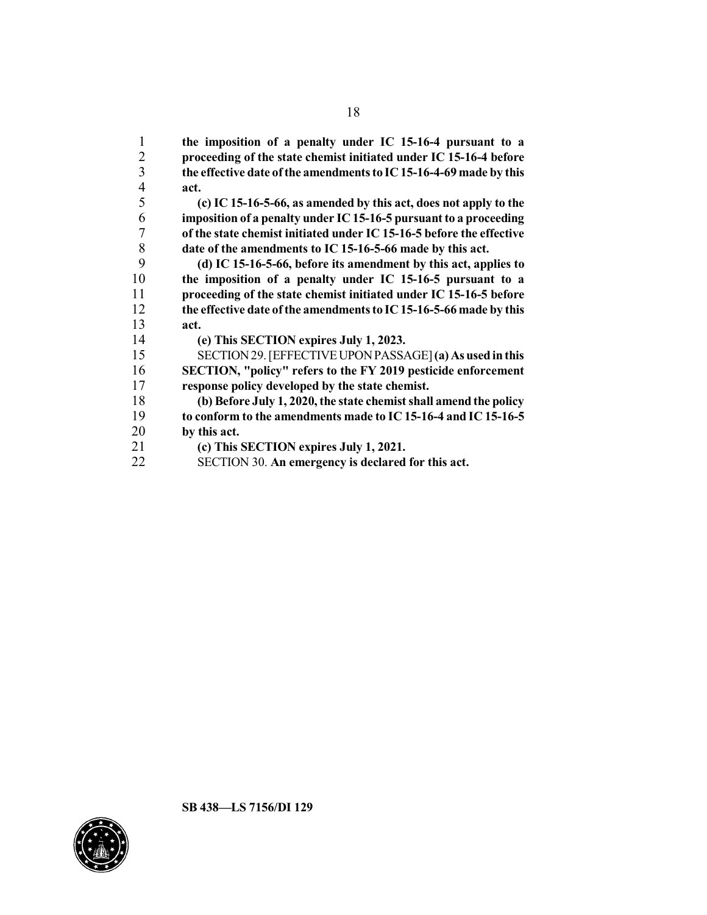**the imposition of a penalty under IC 15-16-4 pursuant to a proceeding of the state chemist initiated under IC 15-16-4 before the effective date ofthe amendmentsto IC15-16-4-69 made by this act.**

 **(c) IC 15-16-5-66, as amended by this act, does not apply to the imposition of a penalty under IC 15-16-5 pursuant to a proceeding of the state chemist initiated under IC 15-16-5 before the effective date of the amendments to IC 15-16-5-66 made by this act.**

 **(d) IC 15-16-5-66, before its amendment by this act, applies to the imposition of a penalty under IC 15-16-5 pursuant to a proceeding of the state chemist initiated under IC 15-16-5 before the effective date ofthe amendmentsto IC15-16-5-66 made by this act.**

**(e) This SECTION expires July 1, 2023.**

 SECTION29.[EFFECTIVEUPONPASSAGE]**(a) As used inthis SECTION, "policy" refers to the FY 2019 pesticide enforcement response policy developed by the state chemist.**

 **(b) Before July 1, 2020, the state chemist shall amend the policy to conform to the amendments made to IC 15-16-4 and IC 15-16-5 by this act.**

- **(c) This SECTION expires July 1, 2021.**
- SECTION 30. **An emergency is declared for this act.**

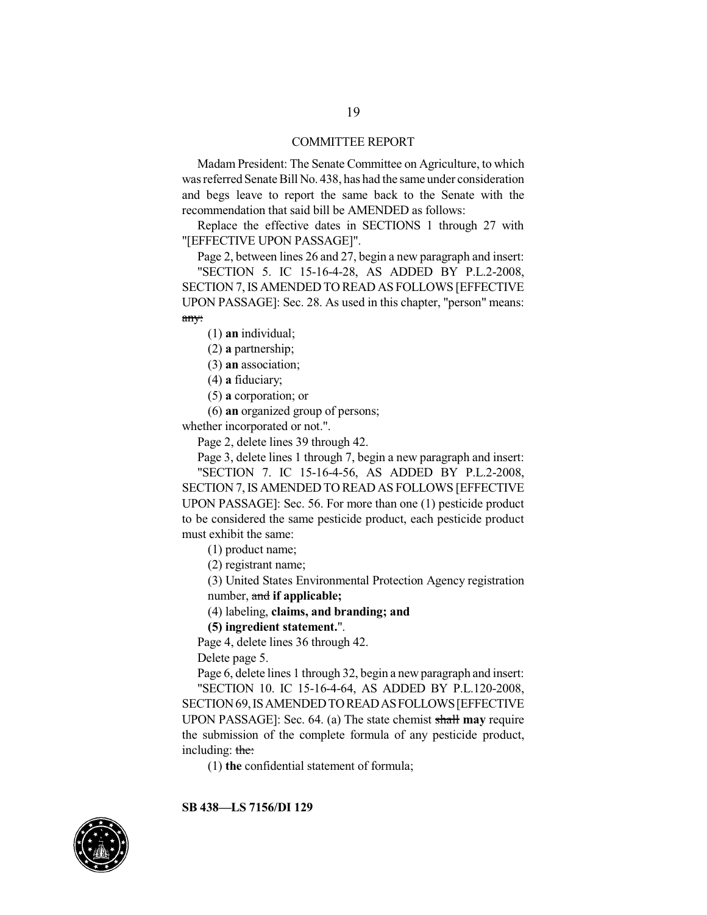#### COMMITTEE REPORT

Madam President: The Senate Committee on Agriculture, to which wasreferred Senate Bill No. 438, has had the same under consideration and begs leave to report the same back to the Senate with the recommendation that said bill be AMENDED as follows:

Replace the effective dates in SECTIONS 1 through 27 with "[EFFECTIVE UPON PASSAGE]".

Page 2, between lines 26 and 27, begin a new paragraph and insert:

"SECTION 5. IC 15-16-4-28, AS ADDED BY P.L.2-2008, SECTION 7,IS AMENDED TO READ AS FOLLOWS [EFFECTIVE UPON PASSAGE]: Sec. 28. As used in this chapter, "person" means: any:

(1) **an** individual;

(2) **a** partnership;

(3) **an** association;

(4) **a** fiduciary;

(5) **a** corporation; or

(6) **an** organized group of persons;

whether incorporated or not.".

Page 2, delete lines 39 through 42.

Page 3, delete lines 1 through 7, begin a new paragraph and insert: "SECTION 7. IC 15-16-4-56, AS ADDED BY P.L.2-2008,

SECTION 7,IS AMENDED TO READ AS FOLLOWS [EFFECTIVE UPON PASSAGE]: Sec. 56. For more than one (1) pesticide product to be considered the same pesticide product, each pesticide product must exhibit the same:

(1) product name;

(2) registrant name;

(3) United States Environmental Protection Agency registration number, and **if applicable;**

(4) labeling, **claims, and branding; and**

**(5) ingredient statement.**".

Page 4, delete lines 36 through 42.

Delete page 5.

Page 6, delete lines 1 through 32, begin a new paragraph and insert: "SECTION 10. IC 15-16-4-64, AS ADDED BY P.L.120-2008, SECTION69,ISAMENDEDTOREADASFOLLOWS[EFFECTIVE UPON PASSAGE]: Sec. 64. (a) The state chemist shall **may** require the submission of the complete formula of any pesticide product, including: the:

(1) **the** confidential statement of formula;

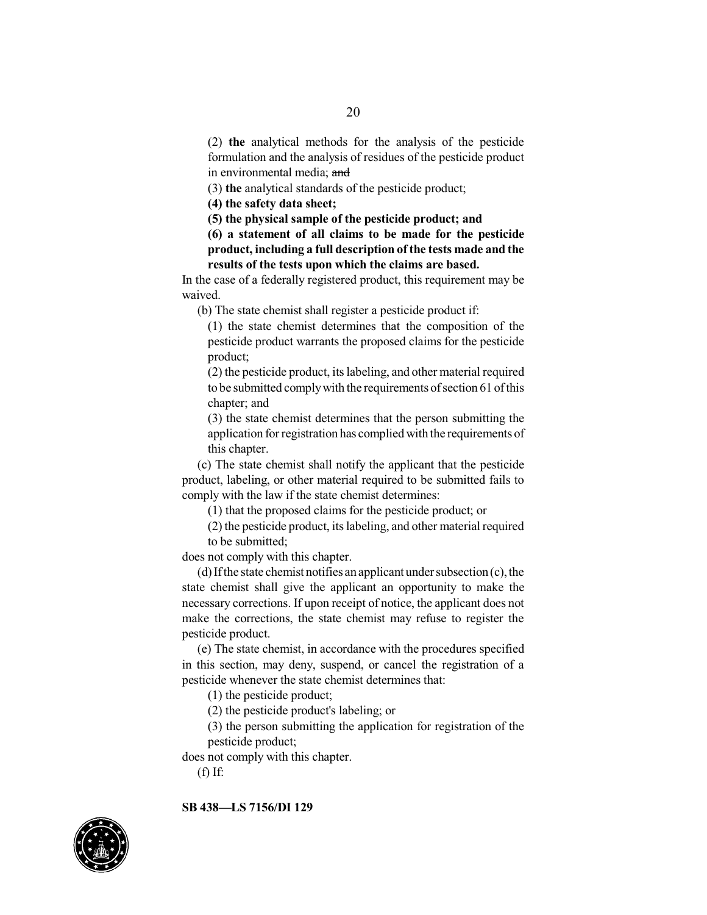(2) **the** analytical methods for the analysis of the pesticide formulation and the analysis of residues of the pesticide product in environmental media; and

(3) **the** analytical standards of the pesticide product;

**(4) the safety data sheet;**

**(5) the physical sample of the pesticide product; and**

**(6) a statement of all claims to be made for the pesticide product, including a full description of the tests made and the results of the tests upon which the claims are based.**

In the case of a federally registered product, this requirement may be waived.

(b) The state chemist shall register a pesticide product if:

(1) the state chemist determines that the composition of the pesticide product warrants the proposed claims for the pesticide product;

(2) the pesticide product, its labeling, and other material required to be submitted comply with the requirements of section 61 of this chapter; and

(3) the state chemist determines that the person submitting the application for registration has complied with the requirements of this chapter.

(c) The state chemist shall notify the applicant that the pesticide product, labeling, or other material required to be submitted fails to comply with the law if the state chemist determines:

(1) that the proposed claims for the pesticide product; or

(2) the pesticide product, its labeling, and other material required to be submitted;

does not comply with this chapter.

 $(d)$  If the state chemist notifies an applicant under subsection  $(c)$ , the state chemist shall give the applicant an opportunity to make the necessary corrections. If upon receipt of notice, the applicant does not make the corrections, the state chemist may refuse to register the pesticide product.

(e) The state chemist, in accordance with the procedures specified in this section, may deny, suspend, or cancel the registration of a pesticide whenever the state chemist determines that:

(1) the pesticide product;

(2) the pesticide product's labeling; or

(3) the person submitting the application for registration of the pesticide product;

does not comply with this chapter.

(f) If:

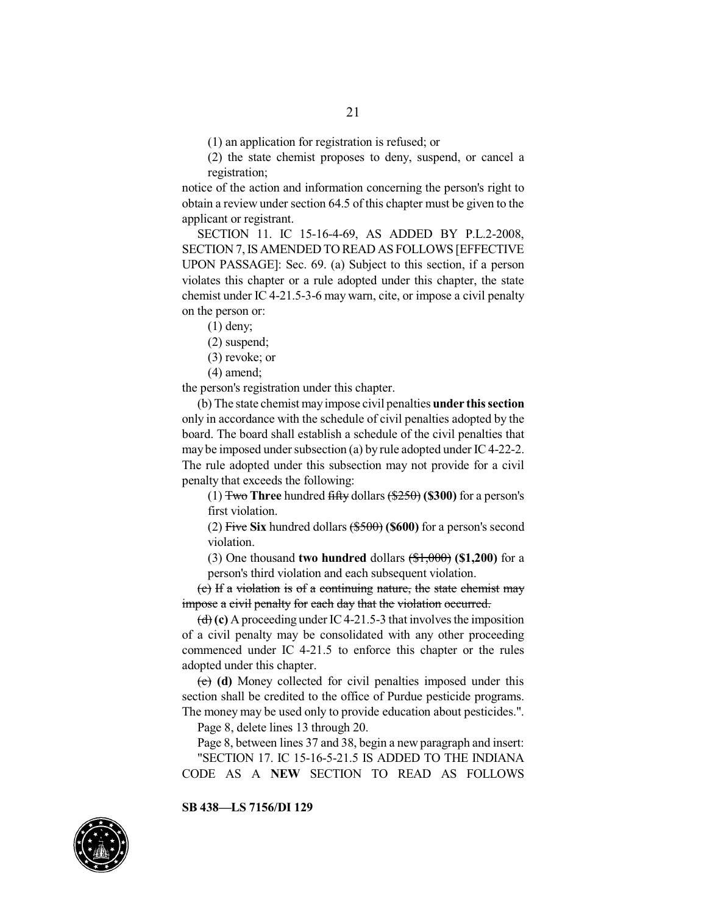(1) an application for registration is refused; or

(2) the state chemist proposes to deny, suspend, or cancel a registration;

notice of the action and information concerning the person's right to obtain a review under section 64.5 of this chapter must be given to the applicant or registrant.

SECTION 11. IC 15-16-4-69, AS ADDED BY P.L.2-2008, SECTION 7,IS AMENDED TO READ AS FOLLOWS [EFFECTIVE UPON PASSAGE]: Sec. 69. (a) Subject to this section, if a person violates this chapter or a rule adopted under this chapter, the state chemist under IC 4-21.5-3-6 may warn, cite, or impose a civil penalty on the person or:

(1) deny;

(2) suspend;

(3) revoke; or

(4) amend;

the person's registration under this chapter.

(b) The state chemist mayimpose civil penalties **under thissection** only in accordance with the schedule of civil penalties adopted by the board. The board shall establish a schedule of the civil penalties that may be imposed under subsection (a) by rule adopted under IC4-22-2. The rule adopted under this subsection may not provide for a civil penalty that exceeds the following:

(1) Two **Three** hundred fifty dollars (\$250) **(\$300)** for a person's first violation.

(2) Five **Six** hundred dollars (\$500) **(\$600)** for a person's second violation.

(3) One thousand **two hundred** dollars (\$1,000) **(\$1,200)** for a person's third violation and each subsequent violation.

(c) If a violation is of a continuing nature, the state chemist may impose a civil penalty for each day that the violation occurred.

 $\left(\frac{d}{d}\right)$  (c) A proceeding under IC4-21.5-3 that involves the imposition of a civil penalty may be consolidated with any other proceeding commenced under IC 4-21.5 to enforce this chapter or the rules adopted under this chapter.

(e) **(d)** Money collected for civil penalties imposed under this section shall be credited to the office of Purdue pesticide programs. The money may be used only to provide education about pesticides.".

Page 8, delete lines 13 through 20.

Page 8, between lines 37 and 38, begin a new paragraph and insert: "SECTION 17. IC 15-16-5-21.5 IS ADDED TO THE INDIANA CODE AS A **NEW** SECTION TO READ AS FOLLOWS

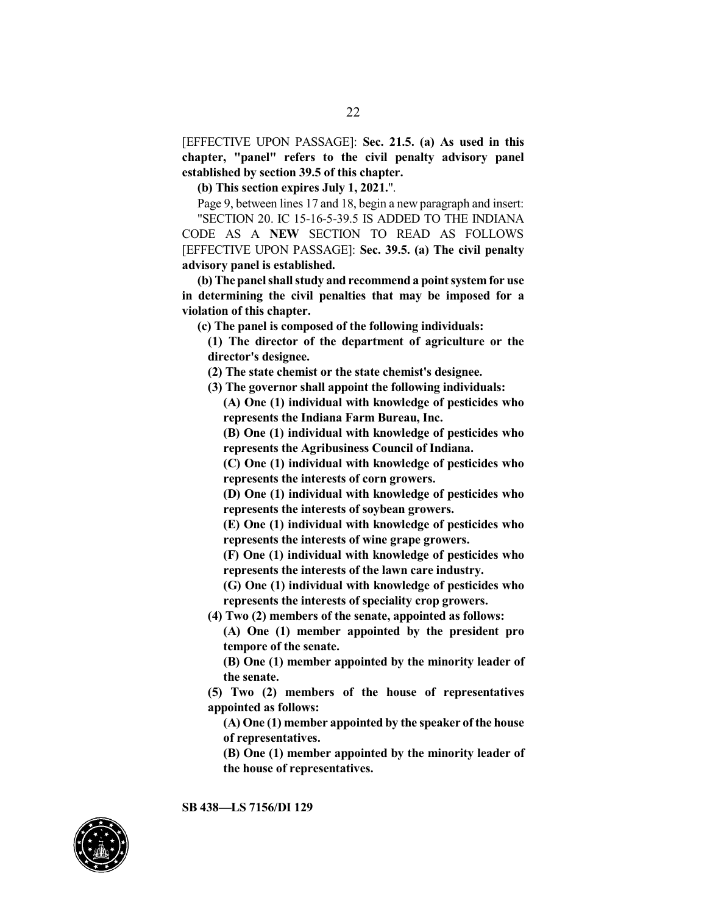[EFFECTIVE UPON PASSAGE]: **Sec. 21.5. (a) As used in this chapter, "panel" refers to the civil penalty advisory panel established by section 39.5 of this chapter.**

**(b) This section expires July 1, 2021.**".

Page 9, between lines 17 and 18, begin a new paragraph and insert: "SECTION 20. IC 15-16-5-39.5 IS ADDED TO THE INDIANA CODE AS A **NEW** SECTION TO READ AS FOLLOWS [EFFECTIVE UPON PASSAGE]: **Sec. 39.5. (a) The civil penalty advisory panel is established.**

**(b) The panelshall study and recommend a point system for use in determining the civil penalties that may be imposed for a violation of this chapter.**

**(c) The panel is composed of the following individuals:**

**(1) The director of the department of agriculture or the director's designee.**

**(2) The state chemist or the state chemist's designee.**

**(3) The governor shall appoint the following individuals:**

**(A) One (1) individual with knowledge of pesticides who represents the Indiana Farm Bureau, Inc.**

**(B) One (1) individual with knowledge of pesticides who represents the Agribusiness Council of Indiana.**

**(C) One (1) individual with knowledge of pesticides who represents the interests of corn growers.**

**(D) One (1) individual with knowledge of pesticides who represents the interests of soybean growers.**

**(E) One (1) individual with knowledge of pesticides who represents the interests of wine grape growers.**

**(F) One (1) individual with knowledge of pesticides who represents the interests of the lawn care industry.**

**(G) One (1) individual with knowledge of pesticides who represents the interests of speciality crop growers.**

**(4) Two (2) members of the senate, appointed as follows:**

**(A) One (1) member appointed by the president pro tempore of the senate.**

**(B) One (1) member appointed by the minority leader of the senate.**

**(5) Two (2) members of the house of representatives appointed as follows:**

**(A) One (1) member appointed by the speaker ofthe house of representatives.**

**(B) One (1) member appointed by the minority leader of the house of representatives.**

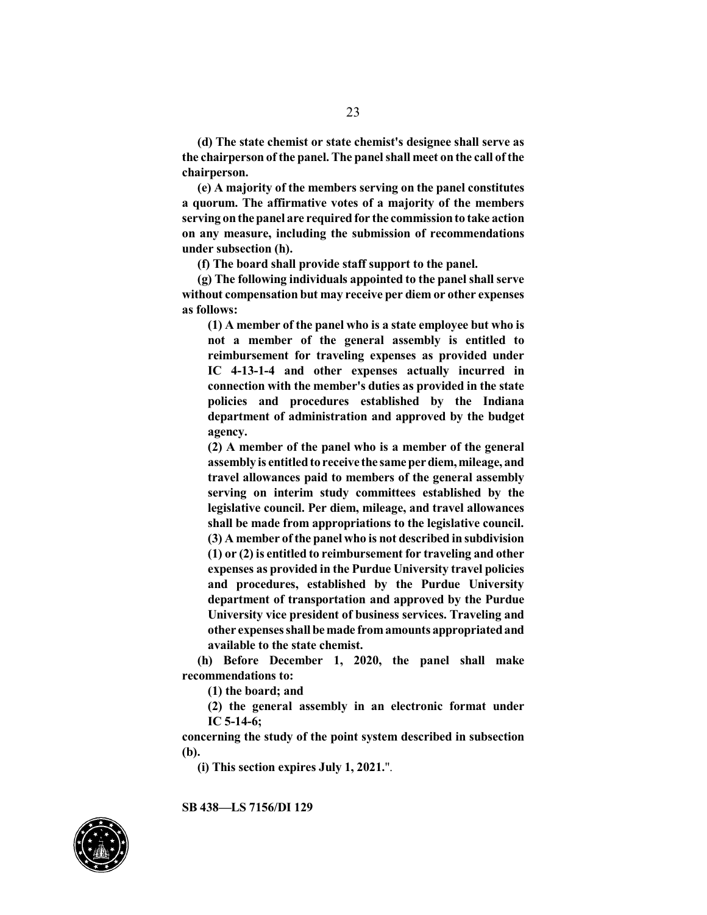**(d) The state chemist or state chemist's designee shall serve as the chairperson ofthe panel. The panelshall meet on the call ofthe chairperson.**

**(e) A majority of the members serving on the panel constitutes a quorum. The affirmative votes of a majority of the members serving onthe panel are requiredfor the commissionto take action on any measure, including the submission of recommendations under subsection (h).**

**(f) The board shall provide staff support to the panel.**

**(g) The following individuals appointed to the panel shall serve without compensation but may receive per diem or other expenses as follows:**

**(1) A member of the panel who is a state employee but who is not a member of the general assembly is entitled to reimbursement for traveling expenses as provided under IC 4-13-1-4 and other expenses actually incurred in connection with the member's duties as provided in the state policies and procedures established by the Indiana department of administration and approved by the budget agency.**

**(2) A member of the panel who is a member of the general assembly is entitledto receive the same perdiem,mileage, and travel allowances paid to members of the general assembly serving on interim study committees established by the legislative council. Per diem, mileage, and travel allowances shall be made from appropriations to the legislative council. (3) A member ofthe panel who is not described in subdivision (1) or (2) is entitled to reimbursement for traveling and other expenses as provided in the Purdue University travel policies and procedures, established by the Purdue University department of transportation and approved by the Purdue University vice president of business services. Traveling and other expenses shall be made fromamounts appropriatedand available to the state chemist.**

**(h) Before December 1, 2020, the panel shall make recommendations to:**

**(1) the board; and**

**(2) the general assembly in an electronic format under IC 5-14-6;**

**concerning the study of the point system described in subsection (b).**

**(i) This section expires July 1, 2021.**".

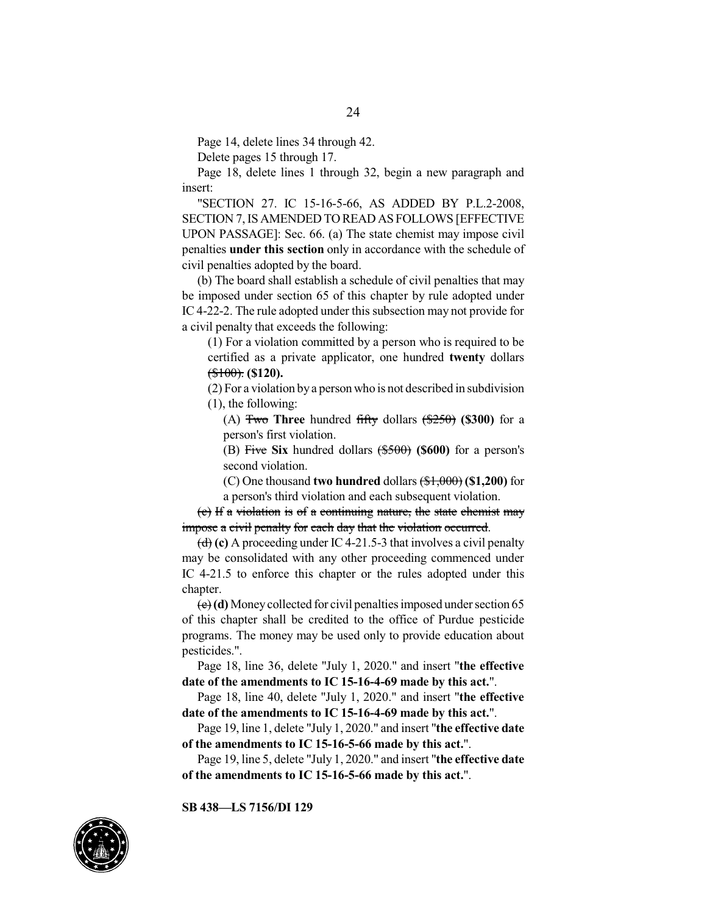Page 14, delete lines 34 through 42.

Delete pages 15 through 17.

Page 18, delete lines 1 through 32, begin a new paragraph and insert:

"SECTION 27. IC 15-16-5-66, AS ADDED BY P.L.2-2008, SECTION 7,IS AMENDED TO READ AS FOLLOWS [EFFECTIVE UPON PASSAGE]: Sec. 66. (a) The state chemist may impose civil penalties **under this section** only in accordance with the schedule of civil penalties adopted by the board.

(b) The board shall establish a schedule of civil penalties that may be imposed under section 65 of this chapter by rule adopted under IC 4-22-2. The rule adopted under this subsection may not provide for a civil penalty that exceeds the following:

(1) For a violation committed by a person who is required to be certified as a private applicator, one hundred **twenty** dollars (\$100). **(\$120).**

(2) For a violation by a person who is not described in subdivision (1), the following:

(A) Two **Three** hundred fifty dollars (\$250) **(\$300)** for a person's first violation.

(B) Five **Six** hundred dollars (\$500) **(\$600)** for a person's second violation.

(C) One thousand **two hundred** dollars (\$1,000) **(\$1,200)** for a person's third violation and each subsequent violation.

(c) If a violation is of a continuing nature, the state chemist may impose a civil penalty for each day that the violation occurred.

 $\left(\frac{d}{d}\right)$  (c) A proceeding under IC 4-21.5-3 that involves a civil penalty may be consolidated with any other proceeding commenced under IC 4-21.5 to enforce this chapter or the rules adopted under this chapter.

(e)**(d)** Moneycollected for civil penalties imposed under section 65 of this chapter shall be credited to the office of Purdue pesticide programs. The money may be used only to provide education about pesticides.".

Page 18, line 36, delete "July 1, 2020." and insert "**the effective date of the amendments to IC 15-16-4-69 made by this act.**".

Page 18, line 40, delete "July 1, 2020." and insert "**the effective date of the amendments to IC 15-16-4-69 made by this act.**".

Page 19, line 1, delete "July 1, 2020." and insert "**the effective date of the amendments to IC 15-16-5-66 made by this act.**".

Page 19, line 5, delete "July 1, 2020." and insert "**the effective date of the amendments to IC 15-16-5-66 made by this act.**".